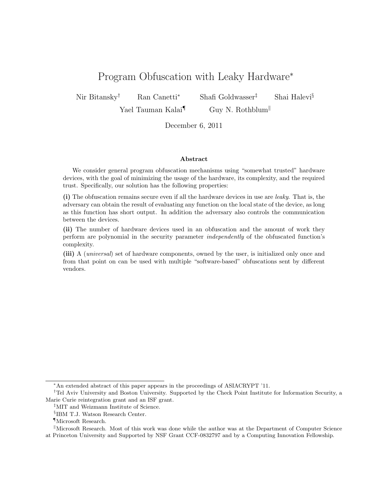# Program Obfuscation with Leaky Hardware<sup>∗</sup>

Nir Bitansky† Ran Canetti<sup>∗</sup> Shafi Goldwasser‡ Shai Halevi§

Yael Tauman Kalai<sup>¶</sup> Guy N. Rothblum

December 6, 2011

#### Abstract

We consider general program obfuscation mechanisms using "somewhat trusted" hardware devices, with the goal of minimizing the usage of the hardware, its complexity, and the required trust. Specifically, our solution has the following properties:

(i) The obfuscation remains secure even if all the hardware devices in use are leaky. That is, the adversary can obtain the result of evaluating any function on the local state of the device, as long as this function has short output. In addition the adversary also controls the communication between the devices.

(ii) The number of hardware devices used in an obfuscation and the amount of work they perform are polynomial in the security parameter independently of the obfuscated function's complexity.

(iii) A (universal) set of hardware components, owned by the user, is initialized only once and from that point on can be used with multiple "software-based" obfuscations sent by different vendors.

<sup>∗</sup>An extended abstract of this paper appears in the proceedings of ASIACRYPT '11.

<sup>†</sup>Tel Aviv University and Boston University. Supported by the Check Point Institute for Information Security, a Marie Curie reintegration grant and an ISF grant.

<sup>‡</sup>MIT and Weizmann Institute of Science.

<sup>§</sup> IBM T.J. Watson Research Center.

<sup>¶</sup>Microsoft Research.

 $\mathbb{R}$ Microsoft Research. Most of this work was done while the author was at the Department of Computer Science at Princeton University and Supported by NSF Grant CCF-0832797 and by a Computing Innovation Fellowship.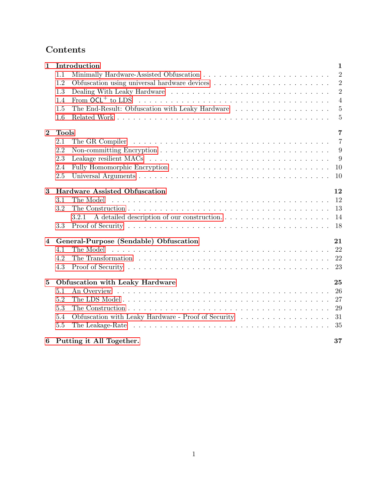# Contents

| $\mathbf{1}$   | Introduction<br>$\mathbf{1}$                 |                                                                                                                 |                |
|----------------|----------------------------------------------|-----------------------------------------------------------------------------------------------------------------|----------------|
|                | 1.1                                          |                                                                                                                 | $\overline{2}$ |
|                | 1.2                                          | Obfuscation using universal hardware devices                                                                    | $\overline{2}$ |
|                | 1.3                                          |                                                                                                                 | $\overline{2}$ |
|                | 1.4                                          |                                                                                                                 | $\overline{4}$ |
|                | 1.5                                          | The End-Result: Obfuscation with Leaky Hardware $\ldots \ldots \ldots \ldots \ldots \ldots$                     | $\overline{5}$ |
|                | 1.6                                          |                                                                                                                 | $\overline{5}$ |
| $\overline{2}$ | <b>Tools</b><br>7                            |                                                                                                                 |                |
|                | 2.1                                          | The GR Compiler $\dots \dots \dots \dots \dots \dots \dots \dots \dots \dots \dots \dots \dots \dots \dots$     | $\overline{7}$ |
|                | 2.2                                          | Non-committing Encryption $\dots \dots \dots \dots \dots \dots \dots \dots \dots \dots \dots \dots \dots \dots$ | 9              |
|                | 2.3                                          |                                                                                                                 | 9              |
|                | 2.4                                          |                                                                                                                 | 10             |
|                | 2.5                                          |                                                                                                                 | 10             |
| 3              | <b>Hardware Assisted Obfuscation</b><br>12   |                                                                                                                 |                |
|                | 3.1                                          | The Model                                                                                                       | 12             |
|                | 3.2                                          |                                                                                                                 | 13             |
|                |                                              | 3.2.1                                                                                                           | 14             |
|                | 3.3                                          |                                                                                                                 | 18             |
| 4              | General-Purpose (Sendable) Obfuscation<br>21 |                                                                                                                 |                |
|                | 4.1                                          | The Model                                                                                                       | 22             |
|                | 4.2                                          |                                                                                                                 | 22             |
|                | 4.3                                          |                                                                                                                 | 23             |
| $\bf{5}$       | <b>Obfuscation with Leaky Hardware</b>       |                                                                                                                 | 25             |
|                | 5.1                                          | An Overview                                                                                                     | 26             |
|                | 5.2                                          |                                                                                                                 | 27             |
|                | 5.3                                          |                                                                                                                 | 29             |
|                | 5.4                                          | Obfuscation with Leaky Hardware - Proof of Security                                                             | 31             |
|                | 5.5                                          | The Leakage-Rate $\dots \dots \dots \dots \dots \dots \dots \dots \dots \dots \dots \dots \dots \dots \dots$    | 35             |
| 6              | Putting it All Together.                     |                                                                                                                 | 37             |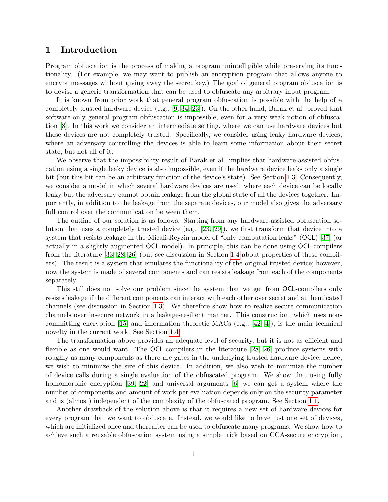# <span id="page-2-0"></span>1 Introduction

Program obfuscation is the process of making a program unintelligible while preserving its functionality. (For example, we may want to publish an encryption program that allows anyone to encrypt messages without giving away the secret key.) The goal of general program obfuscation is to devise a generic transformation that can be used to obfuscate any arbitrary input program.

It is known from prior work that general program obfuscation is possible with the help of a completely trusted hardware device (e.g., [\[9,](#page-39-0) [34,](#page-41-0) [23\]](#page-40-0)). On the other hand, Barak et al. proved that software-only general program obfuscation is impossible, even for a very weak notion of obfuscation [\[8\]](#page-39-1). In this work we consider an intermediate setting, where we can use hardware devices but these devices are not completely trusted. Specifically, we consider using leaky hardware devices, where an adversary controlling the devices is able to learn some information about their secret state, but not all of it.

We observe that the impossibility result of Barak et al. implies that hardware-assisted obfuscation using a single leaky device is also impossible, even if the hardware device leaks only a single bit (but this bit can be an arbitrary function of the device's state). See Section [1.3.](#page-3-2) Consequently, we consider a model in which several hardware devices are used, where each device can be locally leaky but the adversary cannot obtain leakage from the global state of all the devices together. Importantly, in addition to the leakage from the separate devices, our model also gives the adversary full control over the communication between them.

The outline of our solution is as follows: Starting from any hardware-assisted obfuscation solution that uses a completely trusted device (e.g., [\[23,](#page-40-0) [29\]](#page-40-1)), we first transform that device into a system that resists leakage in the Micali-Reyzin model of "only computation leaks" (OCL) [\[37\]](#page-41-1) (or actually in a slightly augmented OCL model). In principle, this can be done using OCL-compilers from the literature [\[33,](#page-41-2) [28,](#page-40-2) [26\]](#page-40-3) (but see discussion in Section [1.4](#page-5-0) about properties of these compilers). The result is a system that emulates the functionality of the original trusted device; however, now the system is made of several components and can resists leakage from each of the components separately.

This still does not solve our problem since the system that we get from OCL-compilers only resists leakage if the different components can interact with each other over secret and authenticated channels (see discussion in Section [1.3\)](#page-3-2). We therefore show how to realize secure communication channels over insecure network in a leakage-resilient manner. This construction, which uses noncommitting encryption [\[15\]](#page-39-2) and information theoretic MACs (e.g., [\[42,](#page-41-3) [4\]](#page-39-3)), is the main technical novelty in the current work. See Section [1.4.](#page-5-0)

The transformation above provides an adequate level of security, but it is not as efficient and flexible as one would want. The OCL-compilers in the literature [\[28,](#page-40-2) [26\]](#page-40-3) produce systems with roughly as many components as there are gates in the underlying trusted hardware device; hence, we wish to minimize the size of this device. In addition, we also wish to minimize the number of device calls during a single evaluation of the obfuscated program. We show that using fully homomorphic encryption [\[39,](#page-41-4) [22\]](#page-40-4) and universal arguments [\[6\]](#page-39-4) we can get a system where the number of components and amount of work per evaluation depends only on the security parameter and is (almost) independent of the complexity of the obfuscated program. See Section [1.1.](#page-3-0)

Another drawback of the solution above is that it requires a new set of hardware devices for every program that we want to obfuscate. Instead, we would like to have just one set of devices, which are initialized once and thereafter can be used to obfuscate many programs. We show how to achieve such a reusable obfuscation system using a simple trick based on CCA-secure encryption,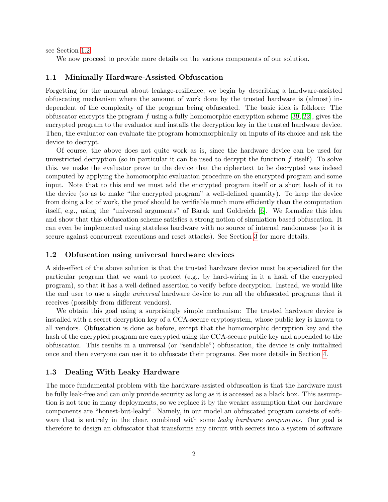see Section [1.2.](#page-3-1)

We now proceed to provide more details on the various components of our solution.

#### <span id="page-3-0"></span>1.1 Minimally Hardware-Assisted Obfuscation

Forgetting for the moment about leakage-resilience, we begin by describing a hardware-assisted obfuscating mechanism where the amount of work done by the trusted hardware is (almost) independent of the complexity of the program being obfuscated. The basic idea is folklore: The obfuscator encrypts the program f using a fully homomorphic encryption scheme [\[39,](#page-41-4) [22\]](#page-40-4), gives the encrypted program to the evaluator and installs the decryption key in the trusted hardware device. Then, the evaluator can evaluate the program homomorphically on inputs of its choice and ask the device to decrypt.

Of course, the above does not quite work as is, since the hardware device can be used for unrestricted decryption (so in particular it can be used to decrypt the function  $f$  itself). To solve this, we make the evaluator prove to the device that the ciphertext to be decrypted was indeed computed by applying the homomorphic evaluation procedure on the encrypted program and some input. Note that to this end we must add the encrypted program itself or a short hash of it to the device (so as to make "the encrypted program" a well-defined quantity). To keep the device from doing a lot of work, the proof should be verifiable much more efficiently than the computation itself, e.g., using the "universal arguments" of Barak and Goldreich [\[6\]](#page-39-4). We formalize this idea and show that this obfuscation scheme satisfies a strong notion of simulation based obfuscation. It can even be implemented using stateless hardware with no source of internal randomness (so it is secure against concurrent executions and reset attacks). See Section [3](#page-13-0) for more details.

#### <span id="page-3-1"></span>1.2 Obfuscation using universal hardware devices

A side-effect of the above solution is that the trusted hardware device must be specialized for the particular program that we want to protect (e.g., by hard-wiring in it a hash of the encrypted program), so that it has a well-defined assertion to verify before decryption. Instead, we would like the end user to use a single universal hardware device to run all the obfuscated programs that it receives (possibly from different vendors).

We obtain this goal using a surprisingly simple mechanism: The trusted hardware device is installed with a secret decryption key of a CCA-secure cryptosystem, whose public key is known to all vendors. Obfuscation is done as before, except that the homomorphic decryption key and the hash of the encrypted program are encrypted using the CCA-secure public key and appended to the obfuscation. This results in a universal (or "sendable") obfuscation, the device is only initialized once and then everyone can use it to obfuscate their programs. See more details in Section [4.](#page-22-0)

#### <span id="page-3-2"></span>1.3 Dealing With Leaky Hardware

The more fundamental problem with the hardware-assisted obfuscation is that the hardware must be fully leak-free and can only provide security as long as it is accessed as a black box. This assumption is not true in many deployments, so we replace it by the weaker assumption that our hardware components are "honest-but-leaky". Namely, in our model an obfuscated program consists of software that is entirely in the clear, combined with some *leaky hardware components*. Our goal is therefore to design an obfuscator that transforms any circuit with secrets into a system of software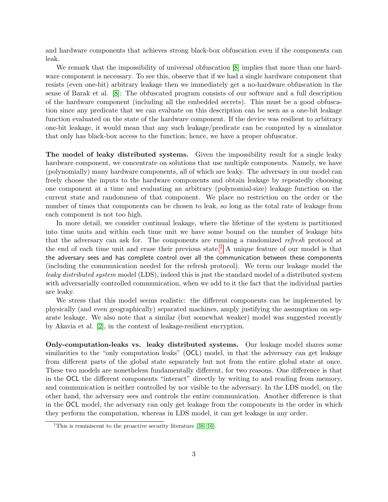and hardware components that achieves strong black-box obfuscation even if the components can leak.

We remark that the impossibility of universal obfuscation [\[8\]](#page-39-1) implies that more than one hardware component is necessary. To see this, observe that if we had a single hardware component that resists (even one-bit) arbitrary leakage then we immediately get a no-hardware obfuscation in the sense of Barak et al. [\[8\]](#page-39-1): The obfuscated program consists of our software and a full description of the hardware component (including all the embedded secrets). This must be a good obfuscation since any predicate that we can evaluate on this description can be seen as a one-bit leakage function evaluated on the state of the hardware component. If the device was resilient to arbitrary one-bit leakage, it would mean that any such leakage/predicate can be computed by a simulator that only has black-box access to the function; hence, we have a proper obfuscator.

The model of leaky distributed systems. Given the impossibility result for a single leaky hardware component, we concentrate on solutions that use multiple components. Namely, we have (polynomially) many hardware components, all of which are leaky. The adversary in our model can freely choose the inputs to the hardware components and obtain leakage by repeatedly choosing one component at a time and evaluating an arbitrary (polynomial-size) leakage function on the current state and randomness of that component. We place no restriction on the order or the number of times that components can be chosen to leak, so long as the total rate of leakage from each component is not too high.

In more detail, we consider continual leakage, where the lifetime of the system is partitioned into time units and within each time unit we have some bound on the number of leakage bits that the adversary can ask for. The components are running a randomized refresh protocol at the end of each time unit and erase their previous state.<sup>[1](#page-4-0)</sup> A unique feature of our model is that the adversary sees and has complete control over all the communication between these components (including the communication needed for the refresh protocol). We term our leakage model the leaky distributed system model (LDS), indeed this is just the standard model of a distributed system with adversarially controlled communication, when we add to it the fact that the individual parties are leaky.

We stress that this model seems realistic: the different components can be implemented by physically (and even geographically) separated machines, amply justifying the assumption on separate leakage. We also note that a similar (but somewhat weaker) model was suggested recently by Akavia et al. [\[2\]](#page-39-5), in the context of leakage-resilient encryption.

Only-computation-leaks vs. leaky distributed systems. Our leakage model shares some similarities to the "only computation leaks" (OCL) model, in that the adversary can get leakage from different parts of the global state separately but not from the entire global state at once. These two models are nonetheless fundamentally different, for two reasons. One difference is that in the OCL the different components "interact" directly by writing to and reading from memory, and communication is neither controlled by nor visible to the adversary. In the LDS model, on the other hand, the adversary sees and controls the entire communication. Another difference is that in the OCL model, the adversary can only get leakage from the components in the order in which they perform the computation, whereas in LDS model, it can get leakage in any order.

<span id="page-4-0"></span><sup>&</sup>lt;sup>1</sup>This is reminiscent to the proactive security literature [\[38,](#page-41-5) [16\]](#page-39-6).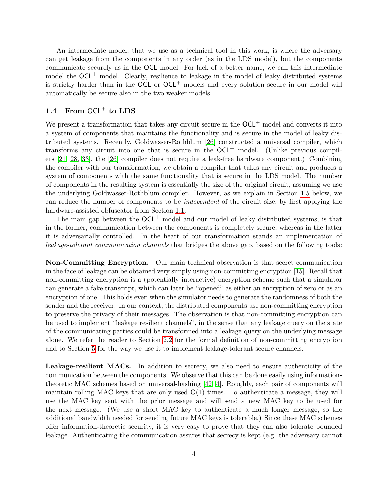An intermediate model, that we use as a technical tool in this work, is where the adversary can get leakage from the components in any order (as in the LDS model), but the components communicate securely as in the OCL model. For lack of a better name, we call this intermediate model the  $OCL<sup>+</sup>$  model. Clearly, resilience to leakage in the model of leaky distributed systems is strictly harder than in the  $OCL$  or  $OCL<sup>+</sup>$  models and every solution secure in our model will automatically be secure also in the two weaker models.

# <span id="page-5-0"></span>1.4 From OCL<sup>+</sup> to LDS

We present a transformation that takes any circuit secure in the  $OCL<sup>+</sup>$  model and converts it into a system of components that maintains the functionality and is secure in the model of leaky distributed systems. Recently, Goldwasser-Rothblum [\[26\]](#page-40-3) constructed a universal compiler, which transforms any circuit into one that is secure in the  $OCL<sup>+</sup>$  model. (Unlike previous compilers [\[21,](#page-40-5) [28,](#page-40-2) [33\]](#page-41-2), the [\[26\]](#page-40-3) compiler does not require a leak-free hardware component.) Combining the compiler with our transformation, we obtain a compiler that takes any circuit and produces a system of components with the same functionality that is secure in the LDS model. The number of components in the resulting system is essentially the size of the original circuit, assuming we use the underlying Goldwasser-Rothblum compiler. However, as we explain in Section [1.5](#page-6-0) below, we can reduce the number of components to be independent of the circuit size, by first applying the hardware-assisted obfuscator from Section [1.1.](#page-3-0)

The main gap between the  $OCL^+$  model and our model of leaky distributed systems, is that in the former, communication between the components is completely secure, whereas in the latter it is adversarially controlled. In the heart of our transformation stands an implementation of leakage-tolerant communication channels that bridges the above gap, based on the following tools:

Non-Committing Encryption. Our main technical observation is that secret communication in the face of leakage can be obtained very simply using non-committing encryption [\[15\]](#page-39-2). Recall that non-committing encryption is a (potentially interactive) encryption scheme such that a simulator can generate a fake transcript, which can later be "opened" as either an encryption of zero or as an encryption of one. This holds even when the simulator needs to generate the randomness of both the sender and the receiver. In our context, the distributed components use non-committing encryption to preserve the privacy of their messages. The observation is that non-committing encryption can be used to implement "leakage resilient channels", in the sense that any leakage query on the state of the communicating parties could be transformed into a leakage query on the underlying message alone. We refer the reader to Section [2.2](#page-10-0) for the formal definition of non-committing encryption and to Section [5](#page-26-0) for the way we use it to implement leakage-tolerant secure channels.

Leakage-resilient MACs. In addition to secrecy, we also need to ensure authenticity of the communication between the components. We observe that this can be done easily using informationtheoretic MAC schemes based on universal-hashing [\[42,](#page-41-3) [4\]](#page-39-3). Roughly, each pair of components will maintain rolling MAC keys that are only used  $\Theta(1)$  times. To authenticate a message, they will use the MAC key sent with the prior message and will send a new MAC key to be used for the next message. (We use a short MAC key to authenticate a much longer message, so the additional bandwidth needed for sending future MAC keys is tolerable.) Since these MAC schemes offer information-theoretic security, it is very easy to prove that they can also tolerate bounded leakage. Authenticating the communication assures that secrecy is kept (e.g. the adversary cannot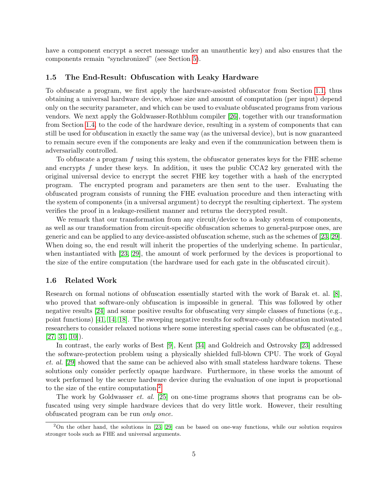have a component encrypt a secret message under an unauthentic key) and also ensures that the components remain "synchronized" (see Section [5\)](#page-26-0).

#### <span id="page-6-0"></span>1.5 The End-Result: Obfuscation with Leaky Hardware

To obfuscate a program, we first apply the hardware-assisted obfuscator from Section [1.1,](#page-3-0) thus obtaining a universal hardware device, whose size and amount of computation (per input) depend only on the security parameter, and which can be used to evaluate obfuscated programs from various vendors. We next apply the Goldwasser-Rothblum compiler [\[26\]](#page-40-3), together with our transformation from Section [1.4,](#page-5-0) to the code of the hardware device, resulting in a system of components that can still be used for obfuscation in exactly the same way (as the universal device), but is now guaranteed to remain secure even if the components are leaky and even if the communication between them is adversarially controlled.

To obfuscate a program f using this system, the obfuscator generates keys for the FHE scheme and encrypts f under these keys. In addition, it uses the public CCA2 key generated with the original universal device to encrypt the secret FHE key together with a hash of the encrypted program. The encrypted program and parameters are then sent to the user. Evaluating the obfuscated program consists of running the FHE evaluation procedure and then interacting with the system of components (in a universal argument) to decrypt the resulting ciphertext. The system verifies the proof in a leakage-resilient manner and returns the decrypted result.

We remark that our transformation from any circuit/device to a leaky system of components, as well as our transformation from circuit-specific obfuscation schemes to general-purpose ones, are generic and can be applied to any device-assisted obfuscation scheme, such as the schemes of [\[23,](#page-40-0) [29\]](#page-40-1). When doing so, the end result will inherit the properties of the underlying scheme. In particular, when instantiated with [\[23,](#page-40-0) [29\]](#page-40-1), the amount of work performed by the devices is proportional to the size of the entire computation (the hardware used for each gate in the obfuscated circuit).

#### <span id="page-6-1"></span>1.6 Related Work

Research on formal notions of obfuscation essentially started with the work of Barak et. al. [\[8\]](#page-39-1), who proved that software-only obfuscation is impossible in general. This was followed by other negative results [\[24\]](#page-40-6) and some positive results for obfuscating very simple classes of functions (e.g., point functions) [\[41,](#page-41-6) [14,](#page-39-7) [18\]](#page-40-7). The sweeping negative results for software-only obfuscation motivated researchers to consider relaxed notions where some interesting special cases can be obfuscated (e.g.,  $[27, 31, 10]$  $[27, 31, 10]$  $[27, 31, 10]$ .

In contrast, the early works of Best [\[9\]](#page-39-0), Kent [\[34\]](#page-41-0) and Goldreich and Ostrovsky [\[23\]](#page-40-0) addressed the software-protection problem using a physically shielded full-blown CPU. The work of Goyal et. al. [\[29\]](#page-40-1) showed that the same can be achieved also with small stateless hardware tokens. These solutions only consider perfectly opaque hardware. Furthermore, in these works the amount of work performed by the secure hardware device during the evaluation of one input is proportional to the size of the entire computation.[2](#page-6-2)

The work by Goldwasser et. al. [\[25\]](#page-40-10) on one-time programs shows that programs can be obfuscated using very simple hardware devices that do very little work. However, their resulting obfuscated program can be run only once.

<span id="page-6-2"></span><sup>2</sup>On the other hand, the solutions in [\[23,](#page-40-0) [29\]](#page-40-1) can be based on one-way functions, while our solution requires stronger tools such as FHE and universal arguments.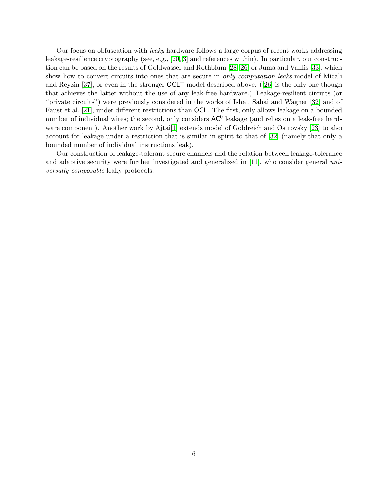Our focus on obfuscation with *leaky* hardware follows a large corpus of recent works addressing leakage-resilience cryptography (see, e.g., [\[20,](#page-40-11) [3\]](#page-39-9) and references within). In particular, our construction can be based on the results of Goldwasser and Rothblum [\[28,](#page-40-2) [26\]](#page-40-3) or Juma and Vahlis [\[33\]](#page-41-2), which show how to convert circuits into ones that are secure in only computation leaks model of Micali and Reyzin [\[37\]](#page-41-1), or even in the stronger  $OCL^+$  model described above. ([\[26\]](#page-40-3) is the only one though that achieves the latter without the use of any leak-free hardware.) Leakage-resilient circuits (or "private circuits") were previously considered in the works of Ishai, Sahai and Wagner [\[32\]](#page-40-12) and of Faust et al. [\[21\]](#page-40-5), under different restrictions than OCL. The first, only allows leakage on a bounded number of individual wires; the second, only considers  $AC^0$  leakage (and relies on a leak-free hard-ware component). Another work by Ajtai<sup>[\[1\]](#page-39-10)</sup> extends model of Goldreich and Ostrovsky [\[23\]](#page-40-0) to also account for leakage under a restriction that is similar in spirit to that of [\[32\]](#page-40-12) (namely that only a bounded number of individual instructions leak).

Our construction of leakage-tolerant secure channels and the relation between leakage-tolerance and adaptive security were further investigated and generalized in [\[11\]](#page-39-11), who consider general universally composable leaky protocols.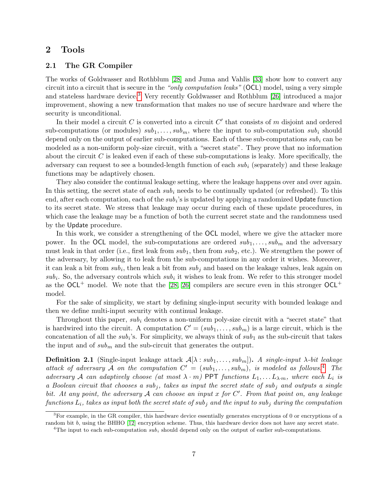# <span id="page-8-0"></span>2 Tools

#### <span id="page-8-1"></span>2.1 The GR Compiler

The works of Goldwasser and Rothblum [\[28\]](#page-40-2) and Juma and Vahlis [\[33\]](#page-41-2) show how to convert any circuit into a circuit that is secure in the "only computation leaks" (OCL) model, using a very simple and stateless hardware device.[3](#page-8-2) Very recently Goldwasser and Rothblum [\[26\]](#page-40-3) introduced a major improvement, showing a new transformation that makes no use of secure hardware and where the security is unconditional.

In their model a circuit C is converted into a circuit  $C'$  that consists of m disjoint and ordered sub-computations (or modules)  $sub_1, \ldots, sub_m$ , where the input to sub-computation  $sub_i$  should depend only on the output of earlier sub-computations. Each of these sub-computations  $sub_i$  can be modeled as a non-uniform poly-size circuit, with a "secret state". They prove that no information about the circuit  $C$  is leaked even if each of these sub-computations is leaky. More specifically, the adversary can request to see a bounded-length function of each  $sub_i$  (separately) and these leakage functions may be adaptively chosen.

They also consider the continual leakage setting, where the leakage happens over and over again. In this setting, the secret state of each  $sub_i$  needs to be continually updated (or refreshed). To this end, after each computation, each of the  $sub_i$ 's is updated by applying a randomized Update function to its secret state. We stress that leakage may occur during each of these update procedures, in which case the leakage may be a function of both the current secret state and the randomness used by the Update procedure.

In this work, we consider a strengthening of the OCL model, where we give the attacker more power. In the OCL model, the sub-computations are ordered  $sub_1, \ldots, sub_m$  and the adversary must leak in that order (i.e., first leak from  $sub_1$ , then from  $sub_2$ , etc.). We strengthen the power of the adversary, by allowing it to leak from the sub-computations in any order it wishes. Moreover, it can leak a bit from  $sub_i$ , then leak a bit from  $sub_j$  and based on the leakage values, leak again on  $sub_i$ . So, the adversary controls which  $sub_i$  it wishes to leak from. We refer to this stronger model as the  $OCL^+$  model. We note that the [\[28,](#page-40-2) [26\]](#page-40-3) compilers are secure even in this stronger  $OCL^+$ model.

For the sake of simplicity, we start by defining single-input security with bounded leakage and then we define multi-input security with continual leakage.

Throughout this paper,  $sub_i$  denotes a non-uniform poly-size circuit with a "secret state" that is hardwired into the circuit. A computation  $C' = (sub_1, \ldots, sub_m)$  is a large circuit, which is the concatenation of all the  $sub_i$ 's. For simplicity, we always think of  $sub_1$  as the sub-circuit that takes the input and of  $sub<sub>m</sub>$  and the sub-circuit that generates the output.

**Definition 2.1** (Single-input leakage attack  $A[\lambda : sub_1, \ldots, sub_m]$ ). A single-input  $\lambda$ -bit leakage attack of adversary A on the computation  $C' = (sub_1, \ldots, sub_m)$ , is modeled as follows.<sup>[4](#page-8-3)</sup> The adversary A can adaptively choose (at most  $\lambda \cdot m$ ) PPT functions  $L_1, \ldots L_{\lambda \cdot m}$ , where each  $L_i$  is a Boolean circuit that chooses a subj, takes as input the secret state of subj and outputs a single bit. At any point, the adversary  $A$  can choose an input x for  $C'$ . From that point on, any leakage functions  $L_i$ , takes as input both the secret state of sub<sub>j</sub> and the input to sub<sub>j</sub> during the computation

<span id="page-8-2"></span> ${}^{3}$ For example, in the GR compiler, this hardware device essentially generates encryptions of 0 or encryptions of a random bit b, using the BHHO [\[12\]](#page-39-12) encryption scheme. Thus, this hardware device does not have any secret state.

<span id="page-8-3"></span><sup>&</sup>lt;sup>4</sup>The input to each sub-computation sub<sub>i</sub> should depend only on the output of earlier sub-computations.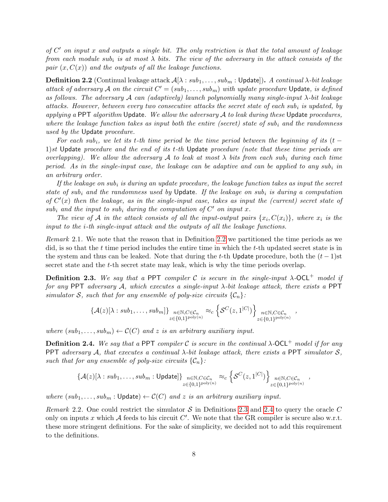of  $C'$  on input x and outputs a single bit. The only restriction is that the total amount of leakage from each module sub<sub>i</sub> is at most  $\lambda$  bits. The view of the adversary in the attack consists of the pair  $(x, C(x))$  and the outputs of all the leakage functions.

<span id="page-9-0"></span>**Definition 2.2** (Continual leakage attack  $A[\lambda : sub_1, \ldots, sub_m : Update]$ ). A continual  $\lambda$ -bit leakage attack of adversary A on the circuit  $C' = (sub_1, \ldots, sub_m)$  with update procedure Update, is defined as follows. The adversary A can (adaptively) launch polynomially many single-input  $\lambda$ -bit leakage attacks. However, between every two consecutive attacks the secret state of each sub<sub>i</sub> is updated, by applying a PPT algorithm Update. We allow the adversary  $A$  to leak during these Update procedures, where the leakage function takes as input both the entire (secret) state of sub<sub>i</sub> and the randomness used by the Update procedure.

For each sub<sub>i</sub>, we let its t-th time period be the time period between the beginning of its (t –  $1)$ st Update procedure and the end of its t-th Update procedure (note that these time periods are overlapping). We allow the adversary A to leak at most  $\lambda$  bits from each sub<sub>i</sub> during each time period. As in the single-input case, the leakage can be adaptive and can be applied to any sub<sub>i</sub> in an arbitrary order.

If the leakage on sub<sub>i</sub> is during an update procedure, the leakage function takes as input the secret state of sub<sub>i</sub> and the randomness used by Update. If the leakage on sub<sub>i</sub> is during a computation of  $C'(x)$  then the leakage, as in the single-input case, takes as input the (current) secret state of  $sub_i$  and the input to sub<sub>i</sub> during the computation of  $C'$  on input x.

The view of A in the attack consists of all the input-output pairs  $\{x_i, C(x_i)\}\$ , where  $x_i$  is the input to the i-th single-input attack and the outputs of all the leakage functions.

Remark 2.1. We note that the reason that in Definition [2.2](#page-9-0) we partitioned the time periods as we did, is so that the t time period includes the entire time in which the t-th updated secret state is in the system and thus can be leaked. Note that during the t-th Update procedure, both the  $(t-1)$ st secret state and the t-th secret state may leak, which is why the time periods overlap.

<span id="page-9-1"></span>**Definition 2.3.** We say that a PPT compiler C is secure in the single-input  $\lambda$ -OCL<sup>+</sup> model if for any PPT adversary A, which executes a single-input  $\lambda$ -bit leakage attack, there exists a PPT simulator S, such that for any ensemble of poly-size circuits  $\{\mathcal{C}_n\}$ :

$$
\left\{ \mathcal{A}(z)[\lambda : sub_1, \ldots, sub_m] \right\}_{\substack{n \in \mathbb{N}, C \in \mathcal{C}_n \\ z \in \{0,1\}^{\text{poly}(n)}}} \approx_c \left\{ \mathcal{S}^C(z, 1^{|C|}) \right\}_{\substack{n \in \mathbb{N}, C \in \mathcal{C}_n \\ z \in \{0,1\}^{\text{poly}(n)}}}
$$

,

where  $(sub_1, \ldots, sub_m) \leftarrow \mathcal{C}(C)$  and z is an arbitrary auxiliary input.

<span id="page-9-2"></span>**Definition 2.4.** We say that a PPT compiler C is secure in the continual  $\lambda$ -OCL<sup>+</sup> model if for any PPT adversary A, that executes a continual  $\lambda$ -bit leakage attack, there exists a PPT simulator S, such that for any ensemble of poly-size circuits  $\{\mathcal{C}_n\}$ :

$$
\left\{ \mathcal{A}(z)[\lambda:sub_1,\ldots,sub_m:\mathsf{Update}]\right\} \underset{z \in \{0,1\}^{\text{poly}(n)}}{\max_{p \in \mathbb{N}, C \in \mathcal{C}_n} c} \approx_c \left\{ \mathcal{S}^C(z,1^{|C|}) \right\}_{z \in \{0,1\}^{\text{poly}(n)}},
$$

where  $(sub_1, \ldots, sub_m : \mathsf{Update}) \leftarrow \mathcal{C}(C)$  and z is an arbitrary auxiliary input.

Remark 2.2. One could restrict the simulator S in Definitions [2.3](#page-9-1) and [2.4](#page-9-2) to query the oracle C only on inputs x which A feeds to his circuit  $C'$ . We note that the GR compiler is secure also w.r.t. these more stringent definitions. For the sake of simplicity, we decided not to add this requirement to the definitions.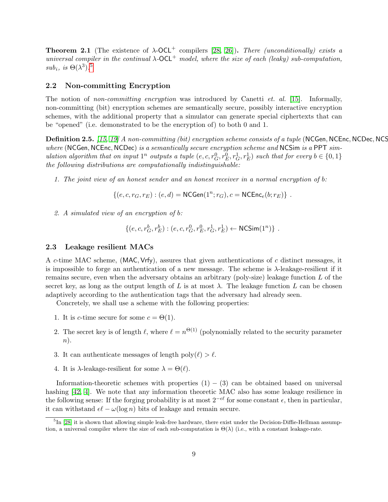<span id="page-10-4"></span>**Theorem 2.1** (The existence of  $\lambda$ -OCL<sup>+</sup> compilers [\[28,](#page-40-2) [26\]](#page-40-3)). There (unconditionally) exists a universal compiler in the continual  $\lambda$ -OCL<sup>+</sup> model, where the size of each (leaky) sub-computation,  $sub_i$ , is  $\Theta(\lambda^3)$ .<sup>[5](#page-10-2)</sup>

#### <span id="page-10-0"></span>2.2 Non-committing Encryption

The notion of non-committing encryption was introduced by Canetti *et. al.* [\[15\]](#page-39-2). Informally, non-committing (bit) encryption schemes are semantically secure, possibly interactive encryption schemes, with the additional property that a simulator can generate special ciphertexts that can be "opened" (i.e. demonstrated to be the encryption of) to both 0 and 1.

<span id="page-10-3"></span>Definition 2.5. [\[15,](#page-39-2) [19\]](#page-40-13) A non-committing (bit) encryption scheme consists of a tuple (NCGen, NCEnc, NCDec, NCS where (NCGen, NCEnc, NCDec) is a semantically secure encryption scheme and NCSim is a PPT simulation algorithm that on input  $1^n$  outputs a tuple  $(e, c, r_G^0, r_E^0, r_G^1, r_E^1)$  such that for every  $b \in \{0, 1\}$ the following distributions are computationally indistinguishable:

1. The joint view of an honest sender and an honest receiver in a normal encryption of b:

$$
\{(e,c,r_G,r_E) : (e,d) = \mathsf{NCGen}(1^n;r_G), c = \mathsf{NCEnc}_e(b;r_E)\} .
$$

2. A simulated view of an encryption of b:

$$
\{(e, c, r_G^b, r_E^b) : (e, c, r_G^0, r_E^0, r_G^1, r_E^1) \leftarrow \mathsf{NCSim}(1^n)\}.
$$

#### <span id="page-10-1"></span>2.3 Leakage resilient MACs

A c-time MAC scheme,  $(MAC, Vrfy)$ , assures that given authentications of c distinct messages, it is impossible to forge an authentication of a new message. The scheme is λ-leakage-resilient if it remains secure, even when the adversary obtains an arbitrary (poly-size) leakage function L of the secret key, as long as the output length of L is at most  $\lambda$ . The leakage function L can be chosen adaptively according to the authentication tags that the adversary had already seen.

Concretely, we shall use a scheme with the following properties:

- 1. It is c-time secure for some  $c = \Theta(1)$ .
- 2. The secret key is of length  $\ell$ , where  $\ell = n^{\Theta(1)}$  (polynomially related to the security parameter  $n$ ).
- 3. It can authenticate messages of length  $\text{poly}(\ell) > \ell$ .
- 4. It is  $\lambda$ -leakage-resilient for some  $\lambda = \Theta(\ell)$ .

Information-theoretic schemes with properties  $(1) - (3)$  can be obtained based on universal hashing [\[42,](#page-41-3) [4\]](#page-39-3). We note that any information theoretic MAC also has some leakage resilience in the following sense: If the forging probability is at most  $2^{-\epsilon \ell}$  for some constant  $\epsilon$ , then in particular, it can withstand  $\epsilon \ell - \omega(\log n)$  bits of leakage and remain secure.

<span id="page-10-2"></span> ${}^{5}$ In [\[28\]](#page-40-2) it is shown that allowing simple leak-free hardware, there exist under the Decision-Diffie-Hellman assumption, a universal compiler where the size of each sub-computation is  $\Theta(\lambda)$  (i.e., with a constant leakage-rate.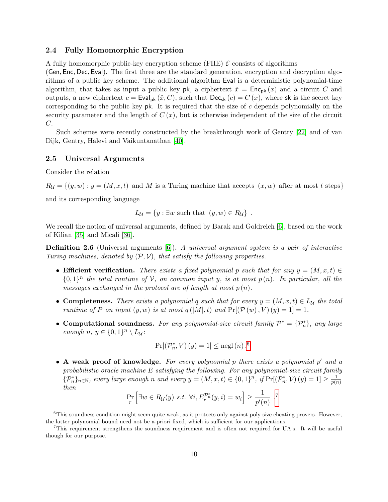#### <span id="page-11-0"></span>2.4 Fully Homomorphic Encryption

A fully homomorphic public-key encryption scheme (FHE)  $\mathcal E$  consists of algorithms

(Gen, Enc, Dec, Eval). The first three are the standard generation, encryption and decryption algorithms of a public key scheme. The additional algorithm Eval is a deterministic polynomial-time algorithm, that takes as input a public key pk, a ciphertext  $\hat{x} = \text{Enc}_{pk}(x)$  and a circuit C and outputs, a new ciphertext  $c = \text{Eval}_{\text{pk}}(\hat{x}, C)$ , such that  $\text{Dec}_{\text{sk}}(c) = C(x)$ , where sk is the secret key corresponding to the public key  $pk$ . It is required that the size of c depends polynomially on the security parameter and the length of  $C(x)$ , but is otherwise independent of the size of the circuit  $C$ .

Such schemes were recently constructed by the breakthrough work of Gentry [\[22\]](#page-40-4) and of van Dijk, Gentry, Halevi and Vaikuntanathan [\[40\]](#page-41-7).

#### <span id="page-11-1"></span>2.5 Universal Arguments

Consider the relation

 $R_{\mathcal{U}} = \{(y, w) : y = (M, x, t) \text{ and } M \text{ is a Turing machine that accepts } (x, w) \text{ after at most } t \text{ steps}\}\$ 

and its corresponding language

$$
L_{\mathcal{U}} = \{ y : \exists w \text{ such that } (y, w) \in R_{\mathcal{U}} \} .
$$

We recall the notion of universal arguments, defined by Barak and Goldreich [\[6\]](#page-39-4), based on the work of Kilian [\[35\]](#page-41-8) and Micali [\[36\]](#page-41-9).

<span id="page-11-4"></span>**Definition 2.6** (Universal arguments [\[6\]](#page-39-4)). A universal argument system is a pair of interactive Turing machines, denoted by  $(\mathcal{P}, \mathcal{V})$ , that satisfy the following properties.

- Efficient verification. There exists a fixed polynomial p such that for any  $y = (M, x, t) \in$  $\{0,1\}^n$  the total runtime of V, on common input y, is at most  $p(n)$ . In particular, all the messages exchanged in the protocol are of length at most  $p(n)$ .
- Completeness. There exists a polynomial q such that for every  $y = (M, x, t) \in L$ <sup>u</sup> the total runtime of P on input  $(y, w)$  is at most  $q(|M|, t)$  and  $Pr[(\mathcal{P}(w), V)(y) = 1] = 1$ .
- Computational soundness. For any polynomial-size circuit family  $\mathcal{P}^* = {\mathcal{P}_n^*}$ , any large enough  $n, y \in \{0,1\}^n \setminus L_{\mathcal{U}}$ :

$$
Pr[(\mathcal{P}_n^*, V)(y) = 1] \le \text{negl}(n).^{6}
$$

• A weak proof of knowledge. For every polynomial p there exists a polynomial  $p'$  and a probabilistic oracle machine  $E$  satisfying the following. For any polynomial-size circuit family  $\{\mathcal{P}_n^*\}_{n\in\mathbb{N}}$ , every large enough n and every  $y=(M,x,t)\in\{0,1\}^n$ , if  $\Pr[(\mathcal{P}_n^*,\mathcal{V})(y)=1]\geq \frac{1}{p(n)}$  $p(n)$ then

$$
\Pr_r \left[ \exists w \in R_{\mathcal{U}}(y) \ s.t. \ \forall i, E_r^{\mathcal{P}_n^*}(y, i) = w_i \right] \ge \frac{1}{p'(n)} \ .^7
$$

<span id="page-11-2"></span> $6$ This soundness condition might seem quite weak, as it protects only against poly-size cheating provers. However, the latter polynomial bound need not be a-priori fixed, which is sufficient for our applications.

<span id="page-11-3"></span><sup>7</sup>This requirement strengthens the soundness requirement and is often not required for UA's. It will be useful though for our purpose.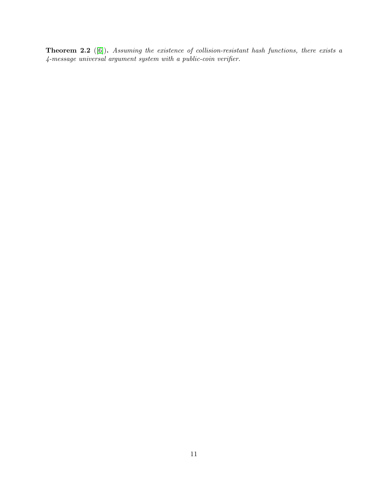<span id="page-12-0"></span>**Theorem 2.2** ([\[6\]](#page-39-4)). Assuming the existence of collision-resistant hash functions, there exists a  $\emph{4-message universal argument system with a public-coin verifier}.$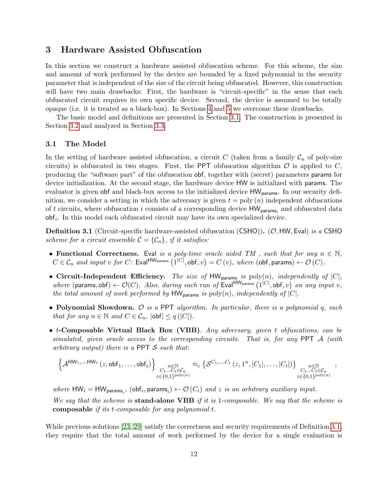# <span id="page-13-0"></span>3 Hardware Assisted Obfuscation

In this section we construct a hardware assisted obfuscation scheme. For this scheme, the size and amount of work performed by the device are bounded by a fixed polynomial in the security parameter that is independent of the size of the circuit being obfuscated. However, this construction will have two main drawbacks: First, the hardware is "circuit-specific" in the sense that each obfuscated circuit requires its own specific device. Second, the device is assumed to be totally opaque (i.e. it is treated as a black-box). In Sections [4](#page-22-0) and [5](#page-26-0) we overcome these drawbacks.

The basic model and definitions are presented in Section [3.1.](#page-13-1) The construction is presented in Section [3.2](#page-14-0) and analyzed in Section [3.3.](#page-19-0)

#### <span id="page-13-1"></span>3.1 The Model

In the setting of hardware assisted obfuscation, a circuit C (taken from a family  $\mathcal{C}_n$  of poly-size circuits) is obfuscated in two stages. First, the PPT obfuscation algorithm  $\mathcal O$  is applied to  $C$ , producing the "software part" of the obfuscation obf, together with (secret) parameters params for device initialization. At the second stage, the hardware device HW is initialized with params. The evaluator is given obt and black-box access to the initialized device  $HW_{params}$ . In our security definition, we consider a setting in which the adversary is given  $t = \text{poly}(n)$  independent obfuscations of t circuits, where obfuscation i consists of a corresponding device  $HW_{\text{params}_i}$  and obfuscated data  $\text{obj}_i$ . In this model each obfuscated circuit may have its own specialized device.

<span id="page-13-2"></span>**Definition 3.1** (Circuit-specific hardware-assisted obfuscation (CSHO)). (O, HW, Eval) is a CSHO scheme for a circuit ensemble  $C = \{C_n\}$ , if it satisfies:

- Functional Correctness. Eval is a poly-time oracle aided TM, such that for any  $n \in \mathbb{N}$ ,  $C\in\mathcal{C}_n$  and input  $v$  for  $C\colon$  Eval<sup>HW</sup>params  $(1^{|C|},\textsf{obf},v)=C\left(v\right)$ , where  $(\textsf{obf},\textsf{params})\leftarrow\mathcal{O}\left(C\right)$ .
- Circuit-Independent Efficiency. The size of  $HW_{params}$  is  $poly(n)$ , independently of  $|C|$ , where (params, obf)  $\leftarrow \mathcal{O}(C)$ . Also, during each run of Eval<sup>HW</sup> params (1<sup>|C|</sup>, obf, v) on any input v, the total amount of work performed by  $HW_{params}$  is  $poly(n)$ , independently of  $|C|$ .
- Polynomial Slowdown.  $\mathcal O$  is a PPT algorithm. In particular, there is a polynomial q, such that for any  $n \in \mathbb{N}$  and  $C \in \mathcal{C}_n$ ,  $|\text{obj}| \leq q(|C|)$ .
- t-Composable Virtual Black Box (VBB). Any adversary, given t obfuscations, can be simulated, given oracle access to the corresponding circuits. That is, for any PPT A (with arbitrary output) there is a PPT  $S$  such that:

$$
\left\{\mathcal{A}^{\mathsf{HW}_1,\ldots,\mathsf{HW}_t}\left(z,\mathsf{obf}_1,\ldots,\mathsf{obf}_t\right)\right\}_{\substack{C_1\ldots C_t\in\mathcal{C}_n\\z\in\{0,1\}^{\mathrm{poly}(n)}}} \approx_c \left\{\mathcal{S}^{C_1,\ldots,C_t}\left(z,1^n,|C_1|,\ldots,|C_t|\right)\right\}_{\substack{n\in\mathbb{N}\\C_1\ldots C_t\in\mathcal{C}_n\\z\in\{0,1\}^{\mathrm{poly}(n)}}},
$$

where  $HW_i = HW_{\text{params}_i}$ ,  $(\text{obf}_i, \text{params}_i) \leftarrow \mathcal{O}(C_i)$  and z is an arbitrary auxiliary input.

We say that the scheme is stand-alone VBB if it is 1-composable. We say that the scheme is composable if its t-composable for any polynomial t.

While previous solutions [\[23,](#page-40-0) [29\]](#page-40-1) satisfy the correctness and security requirements of Definition [3.1,](#page-13-2) they require that the total amount of work performed by the device for a single evaluation is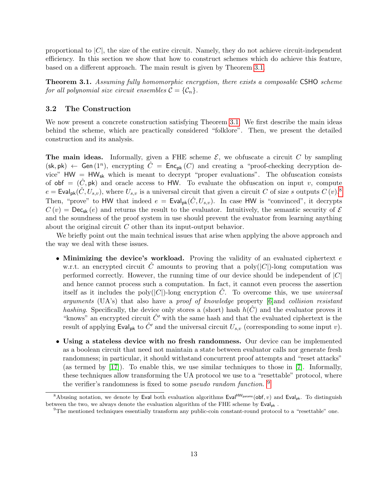proportional to  $|C|$ , the size of the entire circuit. Namely, they do not achieve circuit-independent efficiency. In this section we show that how to construct schemes which do achieve this feature, based on a different approach. The main result is given by Theorem [3.1.](#page-14-1)

<span id="page-14-1"></span>**Theorem 3.1.** Assuming fully homomorphic encryption, there exists a composable CSHO scheme for all polynomial size circuit ensembles  $C = \{C_n\}.$ 

#### <span id="page-14-0"></span>3.2 The Construction

We now present a concrete construction satisfying Theorem [3.1.](#page-14-1) We first describe the main ideas behind the scheme, which are practically considered "folklore". Then, we present the detailed construction and its analysis.

The main ideas. Informally, given a FHE scheme  $\mathcal{E}$ , we obfuscate a circuit C by sampling  $(\mathsf{sk}, \mathsf{pk}) \leftarrow \mathsf{Gen}(1^n)$ , encrypting  $\hat{C} = \mathsf{Enc}_{\mathsf{pk}}(C)$  and creating a "proof-checking decryption device"  $HW = HW_{sk}$  which is meant to decrypt "proper evaluations". The obfuscation consists of obf =  $(\tilde{C}, \mathsf{pk})$  and oracle access to HW. To evaluate the obfuscation on input v, compute  $e = \text{Eval}_{\text{pk}}(\hat{C}, U_{s,v}),$  where  $U_{s,v}$  is a universal circuit that given a circuit C of size s outputs  $C(v).$ <sup>[8](#page-14-2)</sup> Then, "prove" to HW that indeed  $e = \text{Eval}_{\text{pk}}(\hat{C}, U_{s,v})$ . In case HW is "convinced", it decrypts  $C(v) = \text{Dec}_{\text{sk}}(e)$  and returns the result to the evaluator. Intuitively, the semantic security of  $\mathcal E$ and the soundness of the proof system in use should prevent the evaluator from learning anything about the original circuit C other than its input-output behavior.

We briefly point out the main technical issues that arise when applying the above approach and the way we deal with these issues.

- Minimizing the device's workload. Proving the validity of an evaluated ciphertext  $e$ w.r.t. an encrypted circuit  $\hat{C}$  amounts to proving that a poly(|C|)-long computation was performed correctly. However, the running time of our device should be independent of  $|C|$ and hence cannot process such a computation. In fact, it cannot even process the assertion itself as it includes the poly $(|C|)$ -long encryption C. To overcome this, we use universal arguments (UA's) that also have a proof of knowledge property  $[6]$ and collision resistant hashing. Specifically, the device only stores a (short) hash  $h(\tilde{C})$  and the evaluator proves it "knows" an encrypted circuit  $\hat{C}$ " with the same hash and that the evaluated ciphertext is the result of applying Eval<sub>pk</sub> to  $\hat{C}'$  and the universal circuit  $U_{s,v}$  (corresponding to some input v).
- Using a stateless device with no fresh randomness. Our device can be implemented as a boolean circuit that need not maintain a state between evaluator calls nor generate fresh randomness; in particular, it should withstand concurrent proof attempts and "reset attacks" (as termed by [\[17\]](#page-40-14)). To enable this, we use similar techniques to those in [\[7\]](#page-39-13). Informally, these techniques allow transforming the UA protocol we use to a "resettable" protocol, where the verifier's randomness is fixed to some *pseudo random function*. <sup>[9](#page-14-3)</sup>

<span id="page-14-2"></span><sup>&</sup>lt;sup>8</sup>Abusing notation, we denote by Eval both evaluation algorithms Eval<sup>HW</sup><sub>Params</sub> (obf, v) and Eval<sub>pk</sub>. To distinguish between the two, we always denote the evaluation algorithm of the FHE scheme by  $\text{Eval}_{\text{pk}}$ .

<span id="page-14-3"></span><sup>&</sup>lt;sup>9</sup>The mentioned techniques essentially transform any public-coin constant-round protocol to a "resettable" one.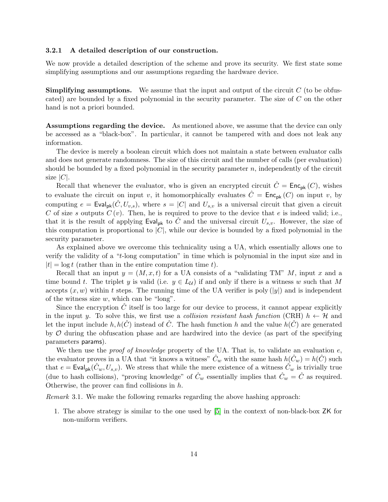#### <span id="page-15-0"></span>3.2.1 A detailed description of our construction.

We now provide a detailed description of the scheme and prove its security. We first state some simplifying assumptions and our assumptions regarding the hardware device.

**Simplifying assumptions.** We assume that the input and output of the circuit  $C$  (to be obfuscated) are bounded by a fixed polynomial in the security parameter. The size of C on the other hand is not a priori bounded.

Assumptions regarding the device. As mentioned above, we assume that the device can only be accessed as a "black-box". In particular, it cannot be tampered with and does not leak any information.

The device is merely a boolean circuit which does not maintain a state between evaluator calls and does not generate randomness. The size of this circuit and the number of calls (per evaluation) should be bounded by a fixed polynomial in the security parameter  $n$ , independently of the circuit size  $|C|$ .

Recall that whenever the evaluator, who is given an encrypted circuit  $\hat{C} = \mathsf{Enc}_{\sf pk}(C)$ , wishes to evaluate the circuit on input v, it homomorphically evaluates  $\hat{C} = \mathsf{Enc}_{\mathsf{pk}}(C)$  on input v, by computing  $e = \text{Eval}_{\text{pk}}(\hat{C}, U_{v,s})$ , where  $s = |C|$  and  $U_{s,v}$  is a universal circuit that given a circuit C of size s outputs  $C(v)$ . Then, he is required to prove to the device that e is indeed valid; i.e., that it is the result of applying Eval<sub>pk</sub> to C and the universal circuit  $U_{s,v}$ . However, the size of this computation is proportional to  $|C|$ , while our device is bounded by a fixed polynomial in the security parameter.

As explained above we overcome this technicality using a UA, which essentially allows one to verify the validity of a "t-long computation" in time which is polynomial in the input size and in  $|t| = \log t$  (rather than in the entire computation time t).

Recall that an input  $y = (M, x, t)$  for a UA consists of a "validating TM" M, input x and a time bound t. The triplet y is valid (i.e.  $y \in L_u$ ) if and only if there is a witness w such that M accepts  $(x, w)$  within t steps. The running time of the UA verifier is poly  $(|y|)$  and is independent of the witness size  $w$ , which can be "long".

Since the encryption  $\hat{C}$  itself is too large for our device to process, it cannot appear explicitly in the input y. To solve this, we first use a *collision resistant hash function* (CRH)  $h \leftarrow \mathcal{H}$  and let the input include h,  $h(\hat{C})$  instead of  $\hat{C}$ . The hash function h and the value  $h(\hat{C})$  are generated by  $\mathcal O$  during the obfuscation phase and are hardwired into the device (as part of the specifying parameters params).

We then use the *proof of knowledge* property of the UA. That is, to validate an evaluation  $e$ , the evaluator proves in a UA that "it knows a witness"  $\hat{C}_w$  with the same hash  $h(\hat{C}_w) = h(\hat{C})$  such that  $e = \text{Eval}_{\text{pk}}(\hat{C}_w, U_{s,v})$ . We stress that while the mere existence of a witness  $\hat{C}_w$  is trivially true (due to hash collisions), "proving knowledge" of  $\hat{C}_w$  essentially implies that  $\hat{C}_w = \hat{C}$  as required. Otherwise, the prover can find collisions in h.

Remark 3.1. We make the following remarks regarding the above hashing approach:

1. The above strategy is similar to the one used by [\[5\]](#page-39-14) in the context of non-black-box ZK for non-uniform verifiers.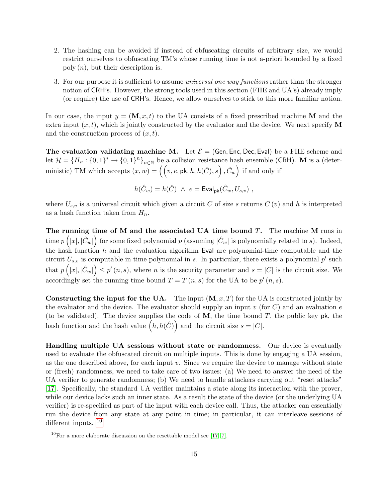- 2. The hashing can be avoided if instead of obfuscating circuits of arbitrary size, we would restrict ourselves to obfuscating TM's whose running time is not a-priori bounded by a fixed poly  $(n)$ , but their description is.
- 3. For our purpose it is sufficient to assume universal one way functions rather than the stronger notion of CRH's. However, the strong tools used in this section (FHE and UA's) already imply (or require) the use of CRH's. Hence, we allow ourselves to stick to this more familiar notion.

In our case, the input  $y = (\mathbf{M}, x, t)$  to the UA consists of a fixed prescribed machine M and the extra input  $(x, t)$ , which is jointly constructed by the evaluator and the device. We next specify M and the construction process of  $(x, t)$ .

The evaluation validating machine M. Let  $\mathcal{E} = (Gen, Enc, Dec, Eval)$  be a FHE scheme and let  $\mathcal{H} = \{H_n: \{0,1\}^* \to \{0,1\}^n\}_{n\in\mathbb{N}}$  be a collision resistance hash ensemble (CRH). M is a (deterministic) TM which accepts  $(x, w) = \left( \left( v, e, \mathsf{pk}, h, h(\hat{C}), s \right), \hat{C}_w \right)$  if and only if

$$
h(\hat{C}_w) = h(\hat{C}) \ \wedge \ e = \text{Eval}_{\text{pk}}(\hat{C}_w, U_{s,v}) \ ,
$$

where  $U_{s,v}$  is a universal circuit which given a circuit C of size s returns  $C(v)$  and h is interpreted as a hash function taken from  $H_n$ .

The running time of M and the associated UA time bound  $T$ . The machine M runs in time  $p\left(|x|, |\hat{C}_w|\right)$  for some fixed polynomial  $p$  (assuming  $|\hat{C}_w|$  is polynomially related to s). Indeed, the hash function  $h$  and the evaluation algorithm Eval are polynomial-time computable and the circuit  $U_{s,v}$  is computable in time polynomial in s. In particular, there exists a polynomial  $p'$  such that  $p(|x|, |\hat{C}_w|) \leq p'(n, s)$ , where n is the security parameter and  $s = |C|$  is the circuit size. We accordingly set the running time bound  $T = T(n, s)$  for the UA to be  $p'(n, s)$ .

Constructing the input for the UA. The input  $(M, x, T)$  for the UA is constructed jointly by the evaluator and the device. The evaluator should supply an input  $v$  (for C) and an evaluation  $e$ (to be validated). The device supplies the code of  $M$ , the time bound T, the public key pk, the hash function and the hash value  $(h, h(\hat{C}))$  and the circuit size  $s = |C|$ .

Handling multiple UA sessions without state or randomness. Our device is eventually used to evaluate the obfuscated circuit on multiple inputs. This is done by engaging a UA session, as the one described above, for each input  $v$ . Since we require the device to manage without state or (fresh) randomness, we need to take care of two issues: (a) We need to answer the need of the UA verifier to generate randomness; (b) We need to handle attackers carrying out "reset attacks" [\[17\]](#page-40-14). Specifically, the standard UA verifier maintains a state along its interaction with the prover, while our device lacks such an inner state. As a result the state of the device (or the underlying UA verifier) is re-specified as part of the input with each device call. Thus, the attacker can essentially run the device from any state at any point in time; in particular, it can interleave sessions of different inputs.  $10$ 

<span id="page-16-0"></span><sup>&</sup>lt;sup>10</sup>For a more elaborate discussion on the resettable model see [\[17,](#page-40-14) [7\]](#page-39-13).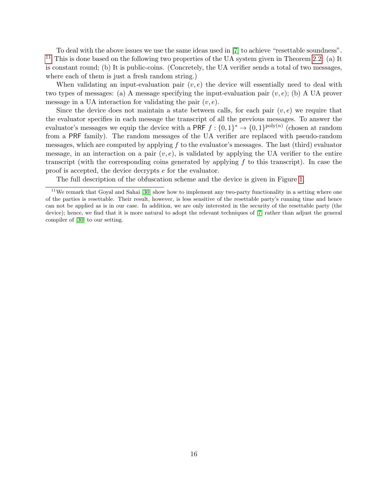To deal with the above issues we use the same ideas used in [\[7\]](#page-39-13) to achieve "resettable soundness". <sup>[11](#page-17-0)</sup> This is done based on the following two properties of the UA system given in Theorem [2.2:](#page-12-0) (a) It is constant round; (b) It is public-coins. (Concretely, the UA verifier sends a total of two messages, where each of them is just a fresh random string.)

When validating an input-evaluation pair  $(v, e)$  the device will essentially need to deal with two types of messages: (a) A message specifying the input-evaluation pair  $(v, e)$ ; (b) A UA prover message in a UA interaction for validating the pair  $(v, e)$ .

Since the device does not maintain a state between calls, for each pair  $(v, e)$  we require that the evaluator specifies in each message the transcript of all the previous messages. To answer the evaluator's messages we equip the device with a PRF  $f: \{0,1\}^* \to \{0,1\}^{\text{poly}(n)}$  (chosen at random from a PRF family). The random messages of the UA verifier are replaced with pseudo-random messages, which are computed by applying f to the evaluator's messages. The last (third) evaluator message, in an interaction on a pair  $(v, e)$ , is validated by applying the UA verifier to the entire transcript (with the corresponding coins generated by applying f to this transcript). In case the proof is accepted, the device decrypts e for the evaluator.

<span id="page-17-0"></span>The full description of the obfuscation scheme and the device is given in Figure [1.](#page-18-0)

<sup>&</sup>lt;sup>11</sup>We remark that Goyal and Sahai [\[30\]](#page-40-15) show how to implement any two-party functionality in a setting where one of the parties is resettable. Their result, however, is less sensitive of the resettable party's running time and hence can not be applied as is in our case. In addition, we are only interested in the security of the resettable party (the device); hence, we find that it is more natural to adopt the relevant techniques of [\[7\]](#page-39-13) rather than adjust the general compiler of [\[30\]](#page-40-15) to our setting.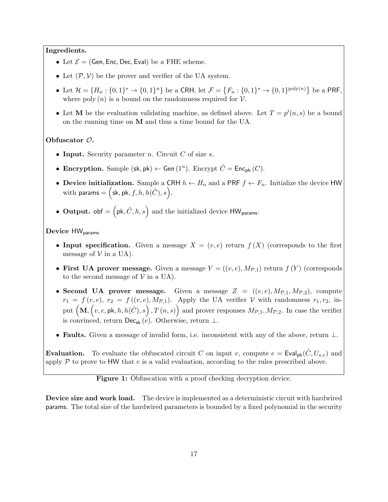#### <span id="page-18-0"></span>Ingredients.

- Let  $\mathcal{E} = (Gen, Enc, Dec,Eval)$  be a FHE scheme.
- Let  $(\mathcal{P}, \mathcal{V})$  be the prover and verifier of the UA system.
- Let  $\mathcal{H} = \{H_n : \{0,1\}^* \to \{0,1\}^n\}$  be a CRH, let  $\mathcal{F} = \{F_n : \{0,1\}^* \to \{0,1\}^{\text{poly}(n)}\}$  be a PRF, where poly  $(n)$  is a bound on the randomness required for  $\mathcal V$ .
- Let M be the evaluation validating machine, as defined above. Let  $T = p'(n, s)$  be a bound on the running time on M and thus a time bound for the UA.

#### Obfuscator  $\mathcal{O}.$

- Input. Security parameter *n*. Circuit  $C$  of size  $s$ .
- Encryption. Sample  $(\mathsf{sk}, \mathsf{pk}) \leftarrow \mathsf{Gen}(1^n)$ . Encrypt  $\hat{C} = \mathsf{Enc}_{\mathsf{pk}}(C)$ .
- Device initialization. Sample a CRH  $h \leftarrow H_n$  and a PRF  $f \leftarrow F_n$ . Initialize the device HW with params  $= \big( \textsf{sk}, \textsf{pk}, f, h, h(\hat{C}), s \big).$
- Output. obf =  $(\mathsf{pk}, \hat{C}, h, s)$  and the initialized device HW<sub>params</sub>.

Device HW<sub>params</sub>

- Input specification. Given a message  $X = (v, e)$  return  $f(X)$  (corresponds to the first message of  $V$  in a UA).
- First UA prover message. Given a message  $Y = ((v, e), M_{\mathcal{P},1})$  return  $f(Y)$  (corresponds to the second message of  $V$  in a UA).
- Second UA prover message. Given a message  $Z = ((v, e), M_{\mathcal{P},1}, M_{\mathcal{P},2})$ , compute  $r_1 = f(v, e), r_2 = f((v, e), M_{\mathcal{P},1}).$  Apply the UA verifier V with randomness  $r_1, r_2$ , input  $(M, (v, e, \mathsf{pk}, h, h(\hat{C}), s), T(n, s))$  and prover responses  $M_{\mathcal{P},1}, M_{\mathcal{P},2}$ . In case the verifier is convinced, return Dec<sub>sk</sub>  $(e)$ . Otherwise, return ⊥.
- Faults. Given a message of invalid form, i.e. inconsistent with any of the above, return  $\perp$ .

**Evaluation.** To evaluate the obfuscated circuit C on input v, compute  $e = \text{Eval}_{\text{pk}}(\hat{C}, U_{s,v})$  and apply  $P$  to prove to HW that  $e$  is a valid evaluation, according to the rules prescribed above.

Figure 1: Obfuscation with a proof checking decryption device.

Device size and work load. The device is implemented as a deterministic circuit with hardwired params. The total size of the hardwired parameters is bounded by a fixed polynomial in the security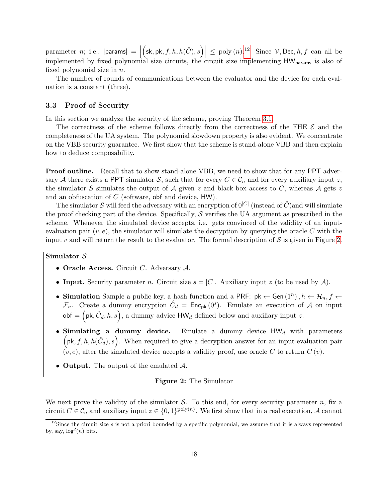parameter *n*; i.e.,  $|\text{params}| = \left| \begin{matrix} 1 & 0 & 0 \\ 0 & 1 & 0 \\ 0 & 0 & 1 \end{matrix} \right|$  $\left(\mathsf{sk}, \mathsf{pk}, f, h, h(\hat{C}), s\right) \Big| \le \text{poly}(n).^{12}$  $\left(\mathsf{sk}, \mathsf{pk}, f, h, h(\hat{C}), s\right) \Big| \le \text{poly}(n).^{12}$  $\left(\mathsf{sk}, \mathsf{pk}, f, h, h(\hat{C}), s\right) \Big| \le \text{poly}(n).^{12}$  Since  $\mathcal V, \mathsf{Dec}, h, f$  can all be implemented by fixed polynomial size circuits, the circuit size implementing  $HW_{params}$  is also of fixed polynomial size in n.

The number of rounds of communications between the evaluator and the device for each evaluation is a constant (three).

#### <span id="page-19-0"></span>3.3 Proof of Security

In this section we analyze the security of the scheme, proving Theorem [3.1.](#page-14-1)

The correctness of the scheme follows directly from the correctness of the FHE  $\mathcal E$  and the completeness of the UA system. The polynomial slowdown property is also evident. We concentrate on the VBB security guarantee. We first show that the scheme is stand-alone VBB and then explain how to deduce composability.

Proof outline. Recall that to show stand-alone VBB, we need to show that for any PPT adversary A there exists a PPT simulator S, such that for every  $C \in \mathcal{C}_n$  and for every auxiliary input z, the simulator S simulates the output of A given z and black-box access to C, whereas A gets z and an obfuscation of  $C$  (software, obf and device,  $HW$ ).

The simulator  $\mathcal S$  will feed the adversary with an encryption of  $0^{|C|}$  (instead of  $\hat C)$ and will simulate the proof checking part of the device. Specifically,  $S$  verifies the UA argument as prescribed in the scheme. Whenever the simulated device accepts, i.e. gets convinced of the validity of an inputevaluation pair  $(v, e)$ , the simulator will simulate the decryption by querying the oracle C with the input v and will return the result to the evaluator. The formal description of  $S$  is given in Figure [2.](#page-19-2)

#### <span id="page-19-2"></span>Simulator S

- Oracle Access. Circuit  $C$ . Adversary  $\mathcal{A}$ .
- Input. Security parameter n. Circuit size  $s = |C|$ . Auxiliary input z (to be used by A).
- Simulation Sample a public key, a hash function and a PRF:  $pk \leftarrow Gen(1^n)$ ,  $h \leftarrow H_n$ ,  $f \leftarrow$  $\mathcal{F}_n$ . Create a dummy encryption  $\hat{C}_d = \text{Enc}_{pk}(0^s)$ . Emulate an execution of A on input  $\mathsf{obf} = (\mathsf{pk}, \hat{C}_d, h, s),$  a dummy advice  $\mathsf{HW}_d$  defined below and auxiliary input z.
- Simulating a dummy device. Emulate a dummy device  $HW_d$  with parameters  $(\mathsf{pk}, f, h, h(\hat{C}_d), s)$ . When required to give a decryption answer for an input-evaluation pair  $(v, e)$ , after the simulated device accepts a validity proof, use oracle C to return  $C(v)$ .
- Output. The output of the emulated  $A$ .

### Figure 2: The Simulator

We next prove the validity of the simulator  $S$ . To this end, for every security parameter n, fix a circuit  $C \in \mathcal{C}_n$  and auxiliary input  $z \in \{0,1\}^{\text{poly}(n)}$ . We first show that in a real execution, A cannot

<span id="page-19-1"></span><sup>&</sup>lt;sup>12</sup>Since the circuit size s is not a priori bounded by a specific polynomial, we assume that it is always represented by, say,  $\log^2(n)$  bits.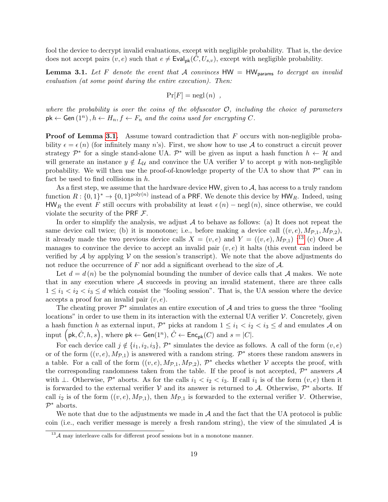fool the device to decrypt invalid evaluations, except with negligible probability. That is, the device does not accept pairs  $(v, e)$  such that  $e \neq \text{Eval}_{\text{pk}}(\hat{C}, U_{s,v})$ , except with negligible probability.

<span id="page-20-0"></span>**Lemma 3.1.** Let F denote the event that A convinces  $HW = HW_{params}$  to decrypt an invalid evaluation (at some point during the entire execution). Then:

$$
Pr[F] = negl(n) ,
$$

where the probability is over the coins of the obfuscator  $\mathcal{O}$ , including the choice of parameters  $\mathsf{pk} \leftarrow \mathsf{Gen}\left(1^n\right), h \leftarrow H_n, f \leftarrow F_n$  and the coins used for encrypting C.

**Proof of Lemma [3.1.](#page-20-0)** Assume toward contradiction that  $F$  occurs with non-negligible probability  $\epsilon = \epsilon(n)$  (for infinitely many n's). First, we show how to use A to construct a circuit prover strategy  $\mathcal{P}^*$  for a single stand-alone UA.  $\mathcal{P}^*$  will be given as input a hash function  $h \leftarrow \mathcal{H}$  and will generate an instance  $y \notin L_{\mathcal{U}}$  and convince the UA verifier V to accept y with non-negligible probability. We will then use the proof-of-knowledge property of the UA to show that  $\mathcal{P}^*$  can in fact be used to find collisions in h.

As a first step, we assume that the hardware device  $HW$ , given to  $A$ , has access to a truly random function  $R: \{0,1\}^* \to \{0,1\}^{\text{poly}(n)}$  instead of a PRF. We denote this device by  $\text{HW}_R$ . Indeed, using HW<sub>R</sub> the event F still occurs with probability at least  $\epsilon(n)$  – negl $(n)$ , since otherwise, we could violate the security of the PRF F.

In order to simplify the analysis, we adjust  $A$  to behave as follows: (a) It does not repeat the same device call twice; (b) it is monotone; i.e., before making a device call  $((v, e), Mp_{1}, Mp_{2})$ , it already made the two previous device calls  $X = (v, e)$  and  $Y = ((v, e), M_{\mathcal{P},1})$ ;<sup>[13](#page-20-1)</sup> (c) Once A manages to convince the device to accept an invalid pair  $(v, e)$  it halts (this event can indeed be verified by  $\mathcal A$  by applying  $\mathcal V$  on the session's transcript). We note that the above adjustments do not reduce the occurrence of  $F$  nor add a significant overhead to the size of  $A$ .

Let  $d = d(n)$  be the polynomial bounding the number of device calls that A makes. We note that in any execution where  $A$  succeeds in proving an invalid statement, there are three calls  $1 \leq i_1 < i_2 < i_3 \leq d$  which consist the "fooling session". That is, the UA session where the device accepts a proof for an invalid pair  $(v, e)$ .

The cheating prover  $\mathcal{P}^*$  simulates an entire execution of  $\mathcal{A}$  and tries to guess the three "fooling" locations" in order to use them in its interaction with the external UA verifier  $\mathcal V$ . Concretely, given a hash function h as external input,  $\mathcal{P}^*$  picks at random  $1 \leq i_1 < i_2 < i_3 \leq d$  and emulates A on input  $\left(\mathsf{pk}, \hat{C}, h, s\right)$ , where  $\mathsf{pk} \leftarrow \mathsf{Gen}(1^n), \, \hat{C} \leftarrow \mathsf{Enc}_{\mathsf{pk}}(C)$  and  $s = |C|.$ 

For each device call  $j \notin \{i_1, i_2, i_3\}, \mathcal{P}^*$  simulates the device as follows. A call of the form  $(v, e)$ or of the form  $((v, e), M_{\mathcal{P},1})$  is answered with a random string.  $\mathcal{P}^*$  stores these random answers in a table. For a call of the form  $((v, e), Mp_{,1}, Mp_{,2}), P^*$  checks whether V accepts the proof, with the corresponding randomness taken from the table. If the proof is not accepted,  $\mathcal{P}^*$  answers  $\mathcal{A}$ with  $\perp$ . Otherwise,  $\mathcal{P}^*$  aborts. As for the calls  $i_1 < i_2 < i_3$ . If call  $i_1$  is of the form  $(v, e)$  then it is forwarded to the external verifier  $V$  and its answer is returned to A. Otherwise,  $\mathcal{P}^*$  aborts. If call  $i_2$  is of the form  $((v, e), M_{\mathcal{P},1})$ , then  $M_{\mathcal{P},1}$  is forwarded to the external verifier V. Otherwise,  $\mathcal{P}^*$  aborts.

We note that due to the adjustments we made in  $A$  and the fact that the UA protocol is public coin (i.e., each verifier message is merely a fresh random string), the view of the simulated  $A$  is

<span id="page-20-1"></span> $13\lambda$  may interleave calls for different proof sessions but in a monotone manner.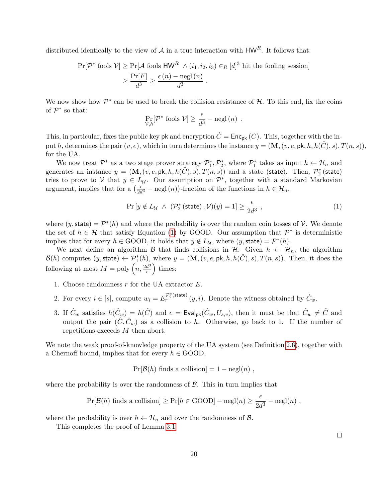distributed identically to the view of  $A$  in a true interaction with  $H W<sup>R</sup>$ . It follows that:

$$
\Pr[\mathcal{P}^* \text{ fools } \mathcal{V}] \ge \Pr[\mathcal{A} \text{ fools } \mathsf{HW}^R \land (i_1, i_2, i_3) \in_R [d]^3 \text{ hit the fooling session}]
$$
  

$$
\ge \frac{\Pr[F]}{d^3} \ge \frac{\epsilon(n) - \text{negl}(n)}{d^3}.
$$

We now show how  $\mathcal{P}^*$  can be used to break the collision resistance of  $\mathcal{H}$ . To this end, fix the coins of  $\mathcal{P}^*$  so that:

$$
\Pr_{\mathcal{V},h}[\mathcal{P}^* \text{ fools } \mathcal{V}] \ge \frac{\epsilon}{d^3} - \operatorname{negl}(n) .
$$

This, in particular, fixes the public key pk and encryption  $\hat{C} = \mathsf{Enc}_{\mathsf{nk}}(C)$ . This, together with the input h, determines the pair  $(v, e)$ , which in turn determines the instance  $y = (\mathbf{M}, (v, e, \mathsf{pk}, h, h(\hat{C}), s), T(n, s)),$ for the UA.

We now treat  $\mathcal{P}^*$  as a two stage prover strategy  $\mathcal{P}_1^*, \mathcal{P}_2^*$ , where  $\mathcal{P}_1^*$  takes as input  $h \leftarrow \mathcal{H}_n$  and generates an instance  $y = (\mathbf{M}, (v, e, \mathsf{pk}, h, h(\hat{C}), s), T(n, s))$  and a state (state). Then,  $\mathcal{P}_2^*$  (state) tries to prove to V that  $y \in L_{\mathcal{U}}$ . Our assumption on  $\mathcal{P}^*$ , together with a standard Markovian argument, implies that for a  $\left(\frac{\epsilon}{2d}\right)$  $\frac{\epsilon}{2d^3}$  – negl  $(n)$ )-fraction of the functions in  $h \in \mathcal{H}_n$ ,

<span id="page-21-0"></span>
$$
\Pr\left[y \notin L_{\mathcal{U}} \ \wedge \ (\mathcal{P}_{2}^{*} \left(\text{state}\right), \mathcal{V})(y) = 1\right] \ge \frac{\epsilon}{2d^{3}} \ , \tag{1}
$$

where  $(y, \text{state}) = \mathcal{P}^*(h)$  and where the probability is over the random coin tosses of V. We denote the set of  $h \in \mathcal{H}$  that satisfy Equation [\(1\)](#page-21-0) by GOOD. Our assumption that  $\mathcal{P}^*$  is deterministic implies that for every  $h \in \text{GOOD}$ , it holds that  $y \notin L_{\mathcal{U}}$ , where  $(y, \text{state}) = \mathcal{P}^*(h)$ .

We next define an algorithm B that finds collisions in  $\mathcal{H}$ : Given  $h \leftarrow \mathcal{H}_n$ , the algorithm  $\mathcal{B}(h)$  computes  $(y, \text{state}) \leftarrow \mathcal{P}_{1}^{*}(h)$ , where  $y = (\mathbf{M}, (v, e, \text{pk}, h, h(\hat{C}), s), T(n, s))$ . Then, it does the following at most  $M = \text{poly}\left(n, \frac{2d^3}{\epsilon}\right)$  $\left(\frac{d^3}{\epsilon}\right)$  times:

- 1. Choose randomness  $r$  for the UA extractor  $E$ .
- 2. For every  $i \in [s]$ , compute  $w_i = E_r^{\mathcal{P}_2^* \text{(state)}}(y, i)$ . Denote the witness obtained by  $\hat{C}_w$ .
- 3. If  $\hat{C}_w$  satisfies  $h(\hat{C}_w) = h(\hat{C})$  and  $e = \text{Eval}_{\text{pk}}(\hat{C}_w, U_{s,v})$ , then it must be that  $\hat{C}_w \neq \hat{C}$  and output the pair  $(\hat{C}, \hat{C}_w)$  as a collision to h. Otherwise, go back to 1. If the number of repetitions exceeds M then abort.

We note the weak proof-of-knowledge property of the UA system (see Definition [2.6\)](#page-11-4), together with a Chernoff bound, implies that for every  $h \in \text{GOOD}$ ,

$$
Pr[\mathcal{B}(h) \text{ finds a collision}] = 1 - negl(n) ,
$$

where the probability is over the randomness of  $\beta$ . This in turn implies that

$$
\Pr[\mathcal{B}(h) \text{ finds a collision}] \ge \Pr[h \in \text{GOOD}] - \text{negl}(n) \ge \frac{\epsilon}{2d^3} - \text{negl}(n) ,
$$

where the probability is over  $h \leftarrow \mathcal{H}_n$  and over the randomness of  $\mathcal{B}$ .

This completes the proof of Lemma [3.1](#page-20-0)

 $\Box$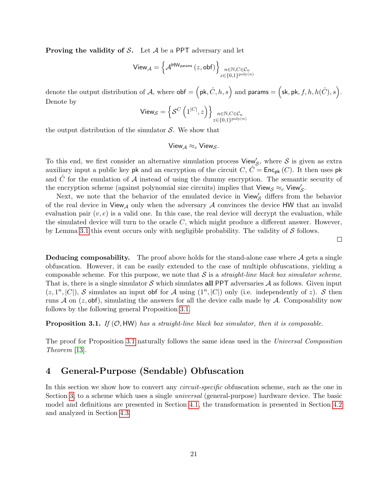**Proving the validity of S.** Let  $\mathcal A$  be a PPT adversary and let

$$
\mathsf{View}_{\mathcal{A}} = \left\{ {\mathcal{A}}^{\mathsf{HW}_{\mathsf{params}}}\left(z, \mathsf{obf}\right) \right\}_{\substack{n \in \mathbb{N}, C \in \mathcal{C}_n \\ z \in \{0,1\}^{\mathsf{poly}(n)}}}
$$

denote the output distribution of A, where  $\mathsf{obf} = \left(\mathsf{pk}, \hat{C}, h, s\right)$  and  $\mathsf{params} = \left(\mathsf{sk}, \mathsf{pk}, f, h, h(\hat{C}), s\right)$ . Denote by

$$
\mathsf{View}_{\mathcal{S}} = \left\{ \mathcal{S}^C\left(1^{|C|}, z\right) \right\}_{\substack{n \in \mathbb{N}, C \in \mathcal{C}_n \\ z \in \{0,1\}^{\mathsf{poly}(n)}}}
$$

the output distribution of the simulator  $S$ . We show that

$$
\mathsf{View}_{\mathcal A}\approx_c\mathsf{View}_{\mathcal S}.
$$

To this end, we first consider an alternative simulation process  $View'_{\mathcal{S}}$ , where  $\mathcal S$  is given as extra auxiliary input a public key pk and an encryption of the circuit C,  $\tilde{C} = \text{Enc}_{pk}(C)$ . It then uses pk and  $\hat{C}$  for the emulation of  $\mathcal A$  instead of using the dummy encryption. The semantic security of the encryption scheme (against polynomial size circuits) implies that  $\mathsf{View}_{\mathcal{S}} \approx_c \mathsf{View}_{\mathcal{S}}'$ .

Next, we note that the behavior of the emulated device in  $View'_{\mathcal{S}}$  differs from the behavior of the real device in View<sub>A</sub> only when the adversary A convinces the device HW that an invalid evaluation pair  $(v, e)$  is a valid one. In this case, the real device will decrypt the evaluation, while the simulated device will turn to the oracle  $C$ , which might produce a different answer. However, by Lemma [3.1](#page-20-0) this event occurs only with negligible probability. The validity of  $\mathcal S$  follows.

 $\Box$ 

**Deducing composability.** The proof above holds for the stand-alone case where  $\mathcal{A}$  gets a single obfuscation. However, it can be easily extended to the case of multiple obfuscations, yielding a composable scheme. For this purpose, we note that  $S$  is a *straight-line black box simulator scheme*. That is, there is a single simulator S which simulates all PPT adversaries  $A$  as follows. Given input  $(z, 1^n, |C|)$ , S simulates an input obf for A using  $(1^n, |C|)$  only (i.e. independently of z). S then runs  $\mathcal A$  on (z, obf), simulating the answers for all the device calls made by  $\mathcal A$ . Composability now follows by the following general Proposition [3.1.](#page-22-1)

<span id="page-22-1"></span>**Proposition 3.1.** If  $(\mathcal{O}, HW)$  has a straight-line black box simulator, then it is composable.

The proof for Proposition [3.1](#page-22-1) naturally follows the same ideas used in the Universal Composition Theorem [\[13\]](#page-39-15).

# <span id="page-22-0"></span>4 General-Purpose (Sendable) Obfuscation

In this section we show how to convert any *circuit-specific* obfuscation scheme, such as the one in Section [3,](#page-13-0) to a scheme which uses a single universal (general-purpose) hardware device. The basic model and definitions are presented in Section [4.1,](#page-23-0) the transformation is presented in Section [4.2](#page-23-1) and analyzed in Section [4.3.](#page-24-0)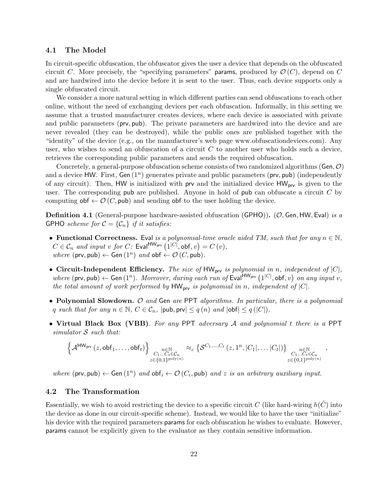#### <span id="page-23-0"></span>4.1 The Model

In circuit-specific obfuscation, the obfuscator gives the user a device that depends on the obfuscated circuit C. More precisely, the "specifying parameters" params, produced by  $\mathcal{O}(C)$ , depend on C and are hardwired into the device before it is sent to the user. Thus, each device supports only a single obfuscated circuit.

We consider a more natural setting in which different parties can send obfuscations to each other online, without the need of exchanging devices per each obfuscation. Informally, in this setting we assume that a trusted manufacturer creates devices, where each device is associated with private and public parameters (prv, pub). The private parameters are hardwired into the device and are never revealed (they can be destroyed), while the public ones are published together with the "identity" of the device (e.g., on the manufacturer's web page www.obfuscationdevices.com). Any user, who wishes to send an obfuscation of a circuit  $C$  to another user who holds such a device, retrieves the corresponding public parameters and sends the required obfuscation.

Concretely, a general-purpose obfuscation scheme consists of two randomized algorithms ( $Gen, \mathcal{O}$ ) and a device HW. First, Gen  $(1^n)$  generates private and public parameters (prv, pub) (independently of any circuit). Then, HW is initialized with prv and the initialized device  $HW_{prv}$  is given to the user. The corresponding pub are published. Anyone in hold of pub can obfuscate a circuit  $C$  by computing  $\mathsf{obf} \leftarrow \mathcal{O}(C, \mathsf{pub})$  and sending  $\mathsf{obf}$  to the user holding the device.

<span id="page-23-2"></span>**Definition 4.1** (General-purpose hardware-assisted obfuscation (GPHO)). ( $\mathcal{O}$ , Gen, HW, Eval) is a GPHO scheme for  $\mathcal{C} = {\mathcal{C}_n}$  if it satisfies:

- Functional Correctness. Eval is a polynomial-time oracle aided TM, such that for any  $n \in \mathbb{N}$ ,  $C \in \mathcal{C}_n$  and input v for  $C$ : Eval<sup>HW<sub>Prv</sub></sup>  $(1^{|C|}, \text{obf}, v) = C(v)$ , where  $(\text{prv}, \text{pub}) \leftarrow \text{Gen}(1^n)$  and  $\text{obf} \leftarrow \mathcal{O}(C, \text{pub})$ .
- Circuit-Independent Efficiency. The size of  $HW_{\text{prv}}$  is polynomial in n, independent of  $|C|$ , where  $(\text{prv}, \text{pub}) \leftarrow \text{Gen}(1^n)$ . Moreover, during each run of Eval<sup>HW</sup><sub>prv</sub>  $(1^{|C|}, \text{obf}, v)$  on any input v, the total amount of work performed by  $HW_{\text{prv}}$  is polynomial in n, independent of  $|C|$ .
- Polynomial Slowdown.  $\mathcal O$  and Gen are PPT algorithms. In particular, there is a polynomial q such that for any  $n \in \mathbb{N}$ ,  $C \in \mathcal{C}_n$ ,  $|\text{pub}, \text{prv}| \leq q(n)$  and  $|\text{obj}| \leq q(|C|)$ .
- Virtual Black Box (VBB). For any PPT adversary  $A$  and polynomial t there is a PPT simulator S such that:

$$
\left\{\mathcal{A}^{\mathsf{HW}_{\mathsf{prv}}}\left(z,\mathsf{obf}_1,\ldots,\mathsf{obf}_t\right)\right\}_{\substack{n\in\mathbb{N}\\C_1\ldots C_t\in\mathcal{C}_n\\z\in\{0,1\}^{\mathsf{poly}(n)}}} \approx_c \left\{\mathcal{S}^{C_1,\ldots,C_t}\left(z,1^n,|C_1|,\ldots|C_t|\right)\right\}_{\substack{n\in\mathbb{N}\\C_1\ldots C_t\in\mathcal{C}_n\\z\in\{0,1\}^{\mathsf{poly}(n)}}},
$$

where  $(\text{prv}, \text{pub}) \leftarrow \text{Gen}(1^n)$  and  $\text{obf}_i \leftarrow \mathcal{O}(C_i, \text{pub})$  and z is an arbitrary auxiliary input.

#### <span id="page-23-1"></span>4.2 The Transformation

Essentially, we wish to avoid restricting the device to a specific circuit C (like hard-wiring  $h(\hat{C})$  into the device as done in our circuit-specific scheme). Instead, we would like to have the user "initialize" his device with the required parameters params for each obfuscation he wishes to evaluate. However, params cannot be explicitly given to the evaluator as they contain sensitive information.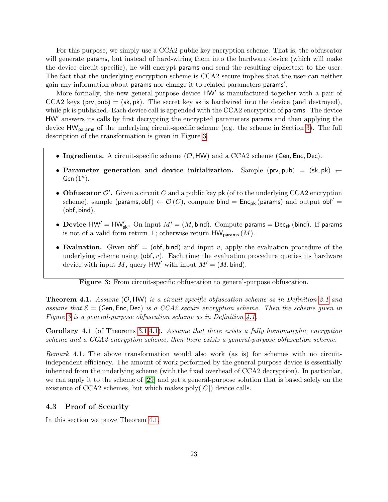For this purpose, we simply use a CCA2 public key encryption scheme. That is, the obfuscator will generate params, but instead of hard-wiring them into the hardware device (which will make the device circuit-specific), he will encrypt params and send the resulting ciphertext to the user. The fact that the underlying encryption scheme is CCA2 secure implies that the user can neither gain any information about params nor change it to related parameters params'.

More formally, the new general-purpose device  $HW'$  is manufactured together with a pair of  $CCA2$  keys (prv, pub) = (sk, pk). The secret key sk is hardwired into the device (and destroyed), while pk is published. Each device call is appended with the CCA2 encryption of params. The device HW' answers its calls by first decrypting the encrypted parameters params and then applying the device HWparams of the underlying circuit-specific scheme (e.g. the scheme in Section [3\)](#page-13-0). The full description of the transformation is given in Figure [3.](#page-24-1)

- <span id="page-24-1"></span>• Ingredients. A circuit-specific scheme  $(\mathcal{O}, HW)$  and a CCA2 scheme (Gen, Enc, Dec).
- Parameter generation and device initialization. Sample (prv, pub) =  $(\text{sk}, \text{pk}) \leftarrow$  $Gen(1^n)$ .
- Obfuscator  $\mathcal{O}'$ . Given a circuit C and a public key pk (of to the underlying CCA2 encryption scheme), sample (params, obf)  $\leftarrow \mathcal{O}(C)$ , compute bind = Enc<sub>pk</sub> (params) and output obf<sup>'</sup> = (obf, bind).
- Device  $HW' = HW'_{sk}$ . On input  $M' = (M, \text{bind})$ . Compute params = Dec<sub>sk</sub> (bind). If params is not of a valid form return  $\bot$ ; otherwise return HW<sub>params</sub> (M).
- Evaluation. Given  $obf' = (obf, bind)$  and input v, apply the evaluation procedure of the underlying scheme using  $(\text{obj}, v)$ . Each time the evaluation procedure queries its hardware device with input M, query  $HW'$  with input  $M' = (M, \text{bind})$ .

Figure 3: From circuit-specific obfuscation to general-purpose obfuscation.

<span id="page-24-2"></span>**Theorem 4.1.** Assume  $(\mathcal{O}, HW)$  is a circuit-specific obfuscation scheme as in Definition [3.1](#page-13-2) and assume that  $\mathcal{E} = (Gen, Enc, Dec)$  is a CCA2 secure encryption scheme. Then the scheme given in Figure [3](#page-24-1) is a general-purpose obfuscation scheme as in Definition [4.1.](#page-23-2)

Corollary 4.1 (of Theorems [3.1](#page-14-1)[,4.1\)](#page-24-2). Assume that there exists a fully homomorphic encryption scheme and a CCA2 encryption scheme, then there exists a general-purpose obfuscation scheme.

Remark 4.1. The above transformation would also work (as is) for schemes with no circuitindependent efficiency. The amount of work performed by the general-purpose device is essentially inherited from the underlying scheme (with the fixed overhead of CCA2 decryption). In particular, we can apply it to the scheme of [\[29\]](#page-40-1) and get a general-purpose solution that is based solely on the existence of CCA2 schemes, but which makes  $poly(|C|)$  device calls.

#### <span id="page-24-0"></span>4.3 Proof of Security

In this section we prove Theorem [4.1.](#page-24-2)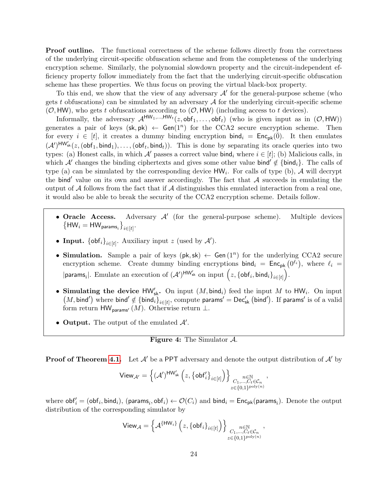**Proof outline.** The functional correctness of the scheme follows directly from the correctness of the underlying circuit-specific obfuscation scheme and from the completeness of the underlying encryption scheme. Similarly, the polynomial slowdown property and the circuit-independent efficiency property follow immediately from the fact that the underlying circuit-specific obfuscation scheme has these properties. We thus focus on proving the virtual black-box property.

To this end, we show that the view of any adversary  $A'$  for the general-purpose scheme (who gets t obfuscations) can be simulated by an adversary  $A$  for the underlying circuit-specific scheme  $(\mathcal{O}, HW)$ , who gets t obfuscations according to  $(\mathcal{O}, HW)$  (including access to t devices).

Informally, the adversary  $\mathcal{A}^{HW_1,\dots,HW_t}(z, \text{obf}_1, \dots, \text{obf}_t)$  (who is given input as in  $(\mathcal{O}, HW)$ ) generates a pair of keys  $(\mathsf{sk}, \mathsf{pk}) \leftarrow \mathsf{Gen}(1^n)$  for the CCA2 secure encryption scheme. Then for every  $i \in [t]$ , it creates a dummy binding encryption bind<sub>i</sub> =  $\mathsf{Enc}_{pk}(\overline{0})$ . It then emulates  $(\mathcal{A}')^{\text{HW}'_{\text{sk}}}(z,(\text{obf}_1, \text{bind}_1), \ldots, (\text{obf}_t, \text{bind}_t)).$  This is done by separating its oracle queries into two types: (a) Honest calls, in which  $A'$  passes a correct value bind<sub>i</sub> where  $i \in [t]$ ; (b) Malicious calls, in which  $\mathcal{A}'$  changes the binding ciphertexts and gives some other value bind<sup>'</sup>  $\notin$  {bind<sub>i</sub>}. The calls of type (a) can be simulated by the corresponding device  $HW_i$ . For calls of type (b), A will decrypt the bind<sup>'</sup> value on its own and answer accordingly. The fact that  $A$  succeeds in emulating the output of  $A$  follows from the fact that if  $A$  distinguishes this emulated interaction from a real one, it would also be able to break the security of the CCA2 encryption scheme. Details follow.

- Oracle Access. Adversary  $\mathcal{A}'$  (for the general-purpose scheme). Multiple devices  $\left\{\mathsf{HW}_i = \mathsf{HW}_{\mathsf{params}_i}\right\}_{i \in [t]}.$
- Input.  $\{\text{obf}_i\}_{i\in[t]}$ . Auxiliary input z (used by  $\mathcal{A}'$ ).
- Simulation. Sample a pair of keys  $(\mathsf{pk}, \mathsf{sk}) \leftarrow \mathsf{Gen}(1^n)$  for the underlying CCA2 secure encryption scheme. Create dummy binding encryptions  $\phi_i = \text{Enc}_{pk}(0^{\ell_i})$ , where  $\ell_i =$  $|\text{params}_i|$ . Emulate an execution of  $(\mathcal{A}')^{\text{HW}'_{sk}}$  on input  $(z, \{\text{obf}_i, \text{bind}_i\}_{i \in [t]})$ .
- Simulating the device  $HW'_{sk}$ . On input  $(M, \text{bind}_i)$  feed the input M to  $HW_i$ . On input  $(M, \text{bind}')$  where bind'  $\notin {\text{bind}_i}_{i \in [t]},$  compute params' = Dec'<sub>sk</sub> (bind'). If params' is of a valid form return HW<sub>params</sub>' (M). Otherwise return ⊥.
- Output. The output of the emulated  $\mathcal{A}'$ .

**Figure 4:** The Simulator 
$$
\mathcal{A}
$$
.

**Proof of Theorem [4.1.](#page-24-2)** Let  $\mathcal{A}'$  be a PPT adversary and denote the output distribution of  $\mathcal{A}'$  by

$$
\mathsf{View}_{\mathcal{A}'} = \left\{ (\mathcal{A}')^{\mathsf{HW}_{\mathsf{sk}}'}\left(z, \left\{ \mathsf{obf}'_i \right\}_{i \in [t]} \right) \right\}_{\substack{ n \in \mathbb{N} \\ \underset{z \in \{0,1\}^{\mathsf{poly}(n)}}{\longrightarrow}}
$$

,

where  $\mathsf{obf}_i' = (\mathsf{obf}_i, \mathsf{bind}_i), (\mathsf{params}_i, \mathsf{obf}_i) \leftarrow \mathcal{O}(C_i)$  and  $\mathsf{bind}_i = \mathsf{Enc}_{\mathsf{pk}}(\mathsf{params}_i)$ . Denote the output distribution of the corresponding simulator by

$$
\mathsf{View}_{\mathcal{A}} = \left\{ \mathcal{A}^{\{\mathsf{HW}_i\}}\left(z, \{\mathsf{obf}_i\}_{i \in [t]}\right) \right\}_{\substack{n \in \mathbb{N} \\ z \in \{0,1\}^{\mathrm{poly}(n)}}},
$$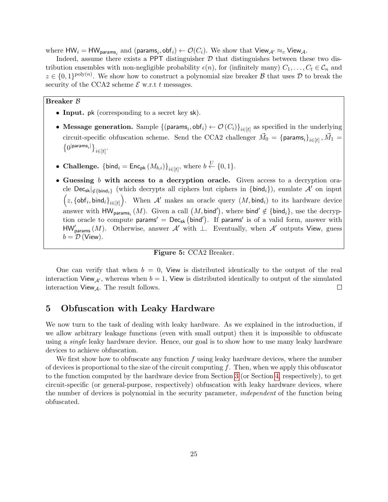where  $\mathsf{HW}_i = \mathsf{HW}_{\mathsf{params}_i}$  and  $(\mathsf{params}_i, \mathsf{obf}_i) \leftarrow \mathcal{O}(C_i)$ . We show that  $\mathsf{View}_{\mathcal{A}'} \approx_c \mathsf{View}_{\mathcal{A}}$ .

Indeed, assume there exists a PPT distinguisher  $D$  that distinguishes between these two distribution ensembles with non-negligible probability  $\epsilon(n)$ , for (infinitely many)  $C_1, \ldots, C_t \in \mathcal{C}_n$  and  $z \in \{0,1\}^{\text{poly}(n)}$ . We show how to construct a polynomial size breaker  $\mathcal{B}$  that uses  $\mathcal{D}$  to break the security of the CCA2 scheme  $\mathcal E$  w.r.t t messages.

### Breaker B

- Input. pk (corresponding to a secret key sk).
- Message generation. Sample  $\{(\text{params}_i, \text{obf}_i) \leftarrow \mathcal{O}(C_i)\}_{i \in [t]}$  as specified in the underlying circuit-specific obfuscation scheme. Send the CCA2 challenger  $\vec{M}_0 = \{$  params $_i\}_{i \in [t]}$  ,  $\vec{M}_1 =$  $\left\{0^{|\mathsf{params}_i|}\right\}_{i \in [t]}.$
- Challenge. {bind<sub>i</sub> =  $\mathsf{Enc}_{\mathsf{pk}}(M_{b,i})\}_{i \in [t]},$  where  $b \stackrel{U}{\leftarrow} \{0,1\}.$
- Guessing  $b$  with access to a decryption oracle. Given access to a decryption oracle  $\textsf{Dec}_{\textsf{sk}}|_{\notin \{\textsf{bind}_i\}}$  (which decrypts all ciphers but ciphers in  $\{\textsf{bind}_i\}$ ), emulate  $\mathcal{A}'$  on input  $(z, \{\text{obf}_i, \text{bind}_i\}_{i \in [t]})$ . When A' makes an oracle query  $(M, \text{bind}_i)$  to its hardware device answer with  $HW_{\text{params}_i}(M)$ . Given a call  $(M, \text{bind}'),$  where  $\text{bind}' \notin \{\text{bind}_i\}$ , use the decryption oracle to compute params' =  $\text{Dec}_{sk}(\text{bind}')$ . If params' is of a valid form, answer with HW $'_{\text{params}}(M)$ . Otherwise, answer A' with ⊥. Eventually, when A' outputs View, guess  $b = \mathcal{D}$  (View).

#### Figure 5: CCA2 Breaker.

One can verify that when  $b = 0$ , View is distributed identically to the output of the real interaction View<sub>A'</sub>, whereas when  $b = 1$ , View is distributed identically to output of the simulated interaction View<sub>A</sub>. The result follows.  $\Box$ 

# <span id="page-26-0"></span>5 Obfuscation with Leaky Hardware

We now turn to the task of dealing with leaky hardware. As we explained in the introduction, if we allow arbitrary leakage functions (even with small output) then it is impossible to obfuscate using a *single* leaky hardware device. Hence, our goal is to show how to use many leaky hardware devices to achieve obfuscation.

We first show how to obfuscate any function  $f$  using leaky hardware devices, where the number of devices is proportional to the size of the circuit computing  $f$ . Then, when we apply this obfuscator to the function computed by the hardware device from Section [3](#page-13-0) (or Section [4,](#page-22-0) respectively), to get circuit-specific (or general-purpose, respectively) obfuscation with leaky hardware devices, where the number of devices is polynomial in the security parameter, independent of the function being obfuscated.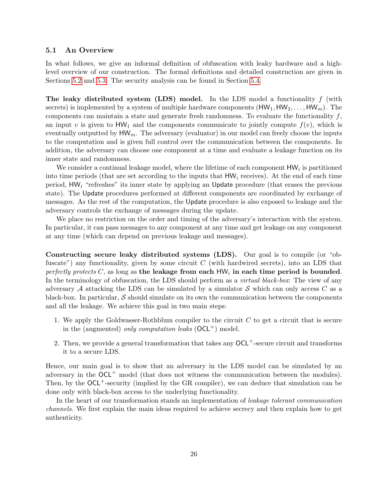#### <span id="page-27-0"></span>5.1 An Overview

In what follows, we give an informal definition of obfuscation with leaky hardware and a highlevel overview of our construction. The formal definitions and detailed construction are given in Sections [5.2](#page-28-0) and [5.3.](#page-30-0) The security analysis can be found in Section [5.4.](#page-32-0)

The leaky distributed system (LDS) model. In the LDS model a functionality  $f$  (with secrets) is implemented by a system of multiple hardware components  $(HW_1, HW_2, \ldots, HW_m)$ . The components can maintain a state and generate fresh randomness. To evaluate the functionality  $f$ , an input v is given to  $HW_1$  and the components communicate to jointly compute  $f(v)$ , which is eventually outputted by  $HW_m$ . The adversary (evaluator) in our model can freely choose the inputs to the computation and is given full control over the communication between the components. In addition, the adversary can choose one component at a time and evaluate a leakage function on its inner state and randomness.

We consider a continual leakage model, where the lifetime of each component  $\mathsf{HW}_i$  is partitioned into time periods (that are set according to the inputs that  $HW_i$  receives). At the end of each time period,  $HW_i$  "refreshes" its inner state by applying an Update procedure (that erases the previous state). The Update procedures performed at different components are coordinated by exchange of messages. As the rest of the computation, the Update procedure is also exposed to leakage and the adversary controls the exchange of messages during the update.

We place no restriction on the order and timing of the adversary's interaction with the system. In particular, it can pass messages to any component at any time and get leakage on any component at any time (which can depend on previous leakage and messages).

Constructing secure leaky distributed systems (LDS). Our goal is to compile (or "obfuscate") any functionality, given by some circuit  $C$  (with hardwired secrets), into an LDS that perfectly protects C, as long as the leakage from each  $HW_i$  in each time period is bounded. In the terminology of obfuscation, the LDS should perform as a *virtual black-box*: The view of any adversary  $A$  attacking the LDS can be simulated by a simulator  $S$  which can only access  $C$  as a black-box. In particular,  $\mathcal S$  should simulate on its own the communication between the components and all the leakage. We achieve this goal in two main steps:

- 1. We apply the Goldwasser-Rothblum compiler to the circuit  $C$  to get a circuit that is secure in the (augmented) only computation leaks  $(OCL^+)$  model.
- 2. Then, we provide a general transformation that takes any  $OCL<sup>+</sup>$ -secure circuit and transforms it to a secure LDS.

Hence, our main goal is to show that an adversary in the LDS model can be simulated by an adversary in the  $OCL<sup>+</sup>$  model (that does not witness the communication between the modules). Then, by the  $OCL^+$ -security (implied by the GR compiler), we can deduce that simulation can be done only with black-box access to the underlying functionality.

In the heart of our transformation stands an implementation of leakage tolerant communication channels. We first explain the main ideas required to achieve secrecy and then explain how to get authenticity.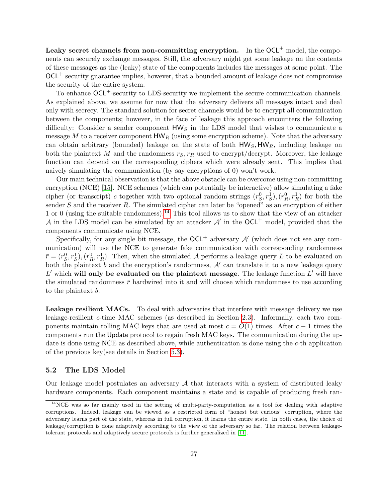Leaky secret channels from non-committing encryption. In the  $OCL^+$  model, the components can securely exchange messages. Still, the adversary might get some leakage on the contents of these messages as the (leaky) state of the components includes the messages at some point. The  $OCL<sup>+</sup>$  security guarantee implies, however, that a bounded amount of leakage does not compromise the security of the entire system.

To enhance  $OCL^+$ -security to LDS-security we implement the secure communication channels. As explained above, we assume for now that the adversary delivers all messages intact and deal only with secrecy. The standard solution for secret channels would be to encrypt all communication between the components; however, in the face of leakage this approach encounters the following difficulty: Consider a sender component  $HW<sub>S</sub>$  in the LDS model that wishes to communicate a message M to a receiver component  $HW_R$  (using some encryption scheme). Note that the adversary can obtain arbitrary (bounded) leakage on the state of both  $HW_S, HW_R$ , including leakage on both the plaintext M and the randomness  $r_S, r_R$  used to encrypt/decrypt. Moreover, the leakage function can depend on the corresponding ciphers which were already sent. This implies that naively simulating the communication (by say encryptions of 0) won't work.

Our main technical observation is that the above obstacle can be overcome using non-committing encryption (NCE) [\[15\]](#page-39-2). NCE schemes (which can potentially be interactive) allow simulating a fake cipher (or transcript) c together with two optional random strings  $(r_S^0, r_S^1), (r_R^0, r_R^1)$  for both the sender S and the receiver R. The simulated cipher can later be "opened" as an encryption of either 1 or 0 (using the suitable randomness).<sup>[14](#page-28-1)</sup> This tool allows us to show that the view of an attacker A in the LDS model can be simulated by an attacker  $A'$  in the OCL<sup>+</sup> model, provided that the components communicate using NCE.

Specifically, for any single bit message, the  $OCL^+$  adversary  $\mathcal{A}'$  (which does not see any communication) will use the NCE to generate fake communication with corresponding randomness  $\bar{r}=(r_S^0,r_S^1),(r_R^0,r_R^1)$ . Then, when the simulated A performs a leakage query L to be evaluated on both the plaintext b and the encryption's randomness,  $A'$  can translate it to a new leakage query L' which will only be evaluated on the plaintext message. The leakage function  $L'$  will have the simulated randomness  $\bar{r}$  hardwired into it and will choose which randomness to use according to the plaintext b.

Leakage resilient MACs. To deal with adversaries that interfere with message delivery we use leakage-resilient c-time MAC schemes (as described in Section [2.3\)](#page-10-1). Informally, each two components maintain rolling MAC keys that are used at most  $c = O(1)$  times. After  $c - 1$  times the components run the Update protocol to regain fresh MAC keys. The communication during the update is done using NCE as described above, while authentication is done using the c-th application of the previous key(see details in Section [5.3\)](#page-30-0).

#### <span id="page-28-0"></span>5.2 The LDS Model

Our leakage model postulates an adversary  $A$  that interacts with a system of distributed leaky hardware components. Each component maintains a state and is capable of producing fresh ran-

<span id="page-28-1"></span> $14NCE$  was so far mainly used in the setting of multi-party-computation as a tool for dealing with adaptive corruptions. Indeed, leakage can be viewed as a restricted form of "honest but curious" corruption, where the adversary learns part of the state, whereas in full corruption, it learns the entire state. In both cases, the choice of leakage/corruption is done adaptively according to the view of the adversary so far. The relation between leakagetolerant protocols and adaptively secure protocols is further generalized in [\[11\]](#page-39-11).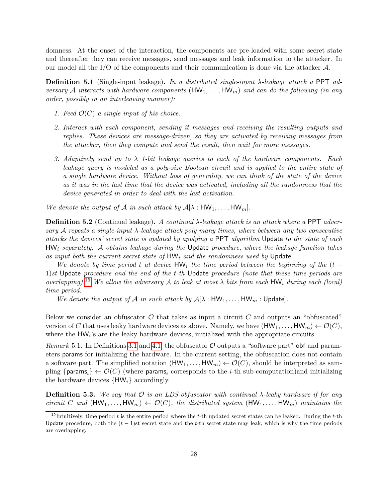domness. At the onset of the interaction, the components are pre-loaded with some secret state and thereafter they can receive messages, send messages and leak information to the attacker. In our model all the I/O of the components and their communication is done via the attacker A.

**Definition 5.1** (Single-input leakage). In a distributed single-input  $\lambda$ -leakage attack a PPT adversary A interacts with hardware components  $(HW_1, \ldots, HW_m)$  and can do the following (in any order, possibly in an interleaving manner):

- 1. Feed  $\mathcal{O}(C)$  a single input of his choice.
- 2. Interact with each component, sending it messages and receiving the resulting outputs and replies. These devices are message-driven, so they are activated by receiving messages from the attacker, then they compute and send the result, then wait for more messages.
- 3. Adaptively send up to  $\lambda$  1-bit leakage queries to each of the hardware components. Each leakage query is modeled as a poly-size Boolean circuit and is applied to the entire state of a single hardware device. Without loss of generality, we can think of the state of the device as it was in the last time that the device was activated, including all the randomness that the device generated in order to deal with the last activation.

We denote the output of A in such attack by  $A[\lambda : HW_1, \ldots, HW_m]$ .

**Definition 5.2** (Continual leakage). A continual  $\lambda$ -leakage attack is an attack where a PPT adversary  $\mathcal A$  repeats a single-input  $\lambda$ -leakage attack poly many times, where between any two consecutive attacks the devices' secret state is updated by applying a PPT algorithm Update to the state of each  $HW_i$  separately. A obtains leakage during the Update procedure, where the leakage function takes as input both the current secret state of  $HW_i$  and the randomness used by Update.

We denote by time period t at device HW<sub>i</sub> the time period between the beginning of the  $(t 1)$ st Update procedure and the end of the t-th Update procedure (note that these time periods are overlapping).<sup>[15](#page-29-0)</sup> We allow the adversary A to leak at most  $\lambda$  bits from each HW<sub>i</sub> during each (local) time period.

We denote the output of A in such attack by  $A[\lambda : HW_1, \ldots, HW_m : Update]$ .

Below we consider an obfuscator  $\mathcal O$  that takes as input a circuit  $C$  and outputs an "obfuscated" version of C that uses leaky hardware devices as above. Namely, we have  $(HW_1, \ldots, HW_m) \leftarrow \mathcal{O}(C)$ , where the  $HW_i$ 's are the leaky hardware devices, initialized with the appropriate circuits.

*Remark* 5.1. In Definitions [3.1](#page-13-2) and [4.1,](#page-23-2) the obfuscator  $\mathcal{O}$  outputs a "software part" obf and parameters params for initializing the hardware. In the current setting, the obfuscation does not contain a software part. The simplified notation  $(HW_1, \ldots, HW_m) \leftarrow \mathcal{O}(C)$ , should be interpreted as sampling  $\{\mathsf{params}_i\} \leftarrow \mathcal{O}(C)$  (where  $\mathsf{params}_i$  corresponds to the  $i\text{-th}$  sub-computation)and initializing the hardware devices  $\{HW_i\}$  accordingly.

<span id="page-29-1"></span>**Definition 5.3.** We say that  $\mathcal O$  is an LDS-obfuscator with continual  $\lambda$ -leaky hardware if for any circuit C and  $(HW_1, \ldots, HW_m) \leftarrow \mathcal{O}(C)$ , the distributed system  $(HW_1, \ldots, HW_m)$  maintains the

<span id="page-29-0"></span><sup>&</sup>lt;sup>15</sup>Intuitively, time period t is the entire period where the t-th updated secret states can be leaked. During the t-th Update procedure, both the  $(t-1)$ st secret state and the t-th secret state may leak, which is why the time periods are overlapping.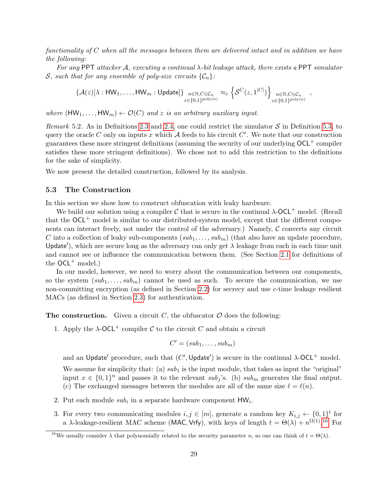functionality of C when all the messages between them are delivered intact and in addition we have the following:

For any PPT attacker A, executing a continual  $\lambda$ -bit leakage attack, there exists a PPT simulator S, such that for any ensemble of poly-size circuits  $\{\mathcal{C}_n\}$ :

$$
\left\{ \mathcal{A}(z)[\lambda:\mathsf{HW}_1,\ldots,\mathsf{HW}_m:\mathsf{Update}] \right\}_{\substack{n\in\mathbb{N},C\in\mathcal{C}_n \\ z\in\{0,1\}^{\mathrm{poly}(n)}}} \approx_c \left\{ \mathcal{S}^C(z,1^{|C|}) \right\}_{\substack{n\in\mathbb{N},C\in\mathcal{C}_n \\ z\in\{0,1\}^{\mathrm{poly}(n)}}} \;,
$$

where  $(HW_1, \ldots, HW_m) \leftarrow \mathcal{O}(C)$  and z is an arbitrary auxiliary input.

Remark 5.2. As in Definitions [2.3](#page-9-1) and [2.4,](#page-9-2) one could restrict the simulator  $\mathcal S$  in Definition [5.3,](#page-29-1) to query the oracle C only on inputs x which  $A$  feeds to his circuit C'. We note that our construction guarantees these more stringent definitions (assuming the security of our underlying  $OCL<sup>+</sup>$  compiler satisfies these more stringent definitions). We chose not to add this restriction to the definitions for the sake of simplicity.

We now present the detailed construction, followed by its analysis.

#### <span id="page-30-0"></span>5.3 The Construction

In this section we show how to construct obfuscation with leaky hardware.

We build our solution using a compiler C that is secure in the continual  $\lambda$ -OCL<sup>+</sup> model. (Recall that the  $OCL<sup>+</sup>$  model is similar to our distributed-system model, except that the different components can interact freely, not under the control of the adversary.) Namely,  $C$  converts any circuit C into a collection of leaky sub-components  $(sub_1, \ldots, sub_m)$  (that also have an update procedure, Update'), which are secure long as the adversary can only get  $\lambda$  leakage from each in each time unit and cannot see or influence the communication between them. (See Section [2.1](#page-8-1) for definitions of the  $OCL^+$  model.)

In our model, however, we need to worry about the communication between our components, so the system  $(sub_1, \ldots, sub_m)$  cannot be used as such. To secure the communication, we use non-committing encryption (as defined in Section [2.2\)](#page-10-0) for secrecy and use  $c$ -time leakage resilient MACs (as defined in Section [2.3\)](#page-10-1) for authentication.

The construction. Given a circuit C, the obfuscator  $\mathcal O$  does the following:

1. Apply the  $\lambda$ -OCL<sup>+</sup> compiler C to the circuit C and obtain a circuit

$$
C' = (sub_1, \ldots, sub_m)
$$

and an Update' procedure, such that  $(C', \mathsf{Update}')$  is secure in the continual  $\lambda$ -OCL<sup>+</sup> model. We assume for simplicity that: (a)  $sub_1$  is the input module, that takes as input the "original" input  $x \in \{0,1\}^n$  and passes it to the relevant  $\textit{sub}_j$ 's. (b)  $\textit{sub}_m$  generates the final output. (c) The exchanged messages between the modules are all of the same size  $\ell = \ell(n)$ .

- 2. Put each module  $sub_i$  in a separate hardware component  $HW_i$ .
- 3. For every two communicating modules  $i, j \in [m]$ , generate a random key  $K_{i,j} \leftarrow \{0,1\}^t$  for a  $\lambda$ -leakage-resilient MAC scheme (MAC, Vrfy), with keys of length  $t = \Theta(\lambda) + n^{\Omega(1)}$ .<sup>[16](#page-30-1)</sup> For

<span id="page-30-1"></span><sup>&</sup>lt;sup>16</sup>We usually consider  $\lambda$  that polynomially related to the security parameter n, so one can think of  $t = \Theta(\lambda)$ .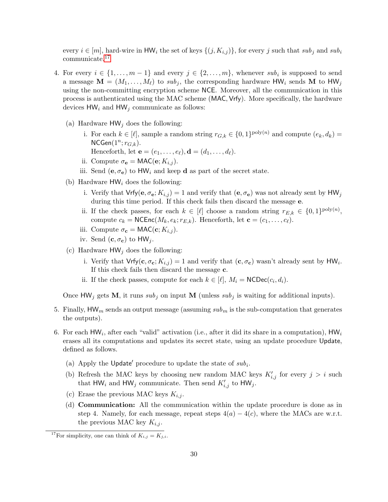every  $i \in [m]$ , hard-wire in HW<sub>i</sub> the set of keys  $\{(j, K_{i,j})\}$ , for every j such that sub<sub>i</sub> and sub<sub>i</sub> communicate.[17](#page-31-0)

- 4. For every  $i \in \{1, \ldots, m-1\}$  and every  $j \in \{2, \ldots, m\}$ , whenever sub<sub>i</sub> is supposed to send a message  $\mathbf{M} = (M_1, \ldots, M_\ell)$  to subj, the corresponding hardware HW<sub>i</sub> sends M to HW<sub>j</sub> using the non-committing encryption scheme NCE. Moreover, all the communication in this process is authenticated using the MAC scheme (MAC, Vrfy). More specifically, the hardware devices  $HW_i$  and  $HW_j$  communicate as follows:
	- (a) Hardware  $HW_i$  does the following:
		- i. For each  $k \in [\ell]$ , sample a random string  $r_{G,k} \in \{0,1\}^{\text{poly}(n)}$  and compute  $(e_k, d_k)$  $NCGen(1^n; r_{G,k}).$ 
			- Henceforth, let  $\mathbf{e} = (e_1, \ldots, e_\ell), \mathbf{d} = (d_1, \ldots, d_\ell).$
		- ii. Compute  $\sigma_{\mathbf{e}} = \mathsf{MAC}(\mathbf{e}; K_{i,j}).$
		- iii. Send  $(e, \sigma_e)$  to HW<sub>i</sub> and keep **d** as part of the secret state.
	- (b) Hardware  $HW_i$  does the following:
		- i. Verify that  $Vrfy(e, \sigma_e; K_{i,j}) = 1$  and verify that  $(e, \sigma_e)$  was not already sent by  $HW_i$ during this time period. If this check fails then discard the message e.
		- ii. If the check passes, for each  $k \in [\ell]$  choose a random string  $r_{E,k} \in \{0,1\}^{\text{poly}(n)}$ , compute  $c_k = \text{NCEnc}(M_k, e_k; r_{E,k})$ . Henceforth, let  $\mathbf{c} = (c_1, \ldots, c_\ell)$ .
		- iii. Compute  $\sigma_{\mathbf{c}} = \text{MAC}(\mathbf{c}; K_{i,j}).$
		- iv. Send  $(c, \sigma_c)$  to HW<sub>j</sub>.
	- (c) Hardware  $HW_i$  does the following:
		- i. Verify that  $Vrfy(c, \sigma_c; K_{i,j}) = 1$  and verify that  $(c, \sigma_c)$  wasn't already sent by  $HW_i$ . If this check fails then discard the message c.
		- ii. If the check passes, compute for each  $k \in [\ell], M_i = \mathsf{NCDec}(c_i, d_i)$ .

Once HW<sub>j</sub> gets M, it runs  $sub_j$  on input M (unless  $sub_j$  is waiting for additional inputs).

- 5. Finally,  $HW_m$  sends an output message (assuming  $sub_m$  is the sub-computation that generates the outputs).
- 6. For each  $HW_i$ , after each "valid" activation (i.e., after it did its share in a computation),  $HW_i$ erases all its computations and updates its secret state, using an update procedure Update, defined as follows.
	- (a) Apply the Update' procedure to update the state of  $sub_i$ .
	- (b) Refresh the MAC keys by choosing new random MAC keys  $K'_{i,j}$  for every  $j > i$  such that HW<sub>i</sub> and HW<sub>j</sub> communicate. Then send  $K'_{i,j}$  to HW<sub>j</sub>.
	- (c) Erase the previous MAC keys  $K_{i,j}$ .
	- (d) Communication: All the communication within the update procedure is done as in step 4. Namely, for each message, repeat steps  $4(a) - 4(c)$ , where the MACs are w.r.t. the previous MAC key  $K_{i,j}$ .

<span id="page-31-0"></span><sup>&</sup>lt;sup>17</sup>For simplicity, one can think of  $K_{i,j} = K_{j,i}$ .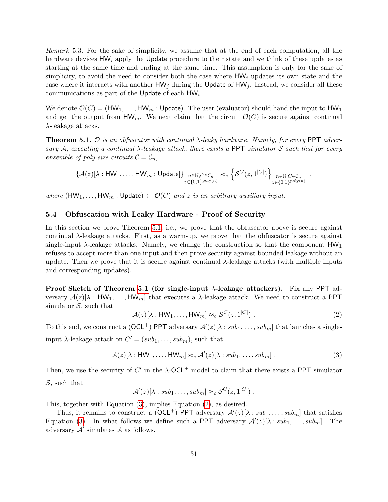<span id="page-32-4"></span>Remark 5.3. For the sake of simplicity, we assume that at the end of each computation, all the hardware devices  $HW_i$  apply the Update procedure to their state and we think of these updates as starting at the same time and ending at the same time. This assumption is only for the sake of simplicity, to avoid the need to consider both the case where  $HW_i$  updates its own state and the case where it interacts with another  $HW_j$  during the Update of  $HW_j$ . Instead, we consider all these communications as part of the Update of each  $HW_i$ .

We denote  $\mathcal{O}(C) = (HW_1, \ldots, HW_m : Update)$ . The user (evaluator) should hand the input to HW<sub>1</sub> and get the output from  $HW_m$ . We next claim that the circuit  $\mathcal{O}(C)$  is secure against continual  $λ$ -leakage attacks.

<span id="page-32-1"></span>**Theorem 5.1.** O is an obfuscator with continual  $\lambda$ -leaky hardware. Namely, for every PPT adversary A, executing a continual  $\lambda$ -leakage attack, there exists a PPT simulator S such that for every ensemble of poly-size circuits  $C = C_n$ ,

$$
\left\{ \mathcal{A}(z)[\lambda : \mathsf{HW}_1, \dots, \mathsf{HW}_m : \mathsf{Update}] \right\} \underset{z \in \{0,1\}^{\text{poly}(n)}}{\text{new}, \mathit{C} \in \mathcal{C}_n} \approx_c \left\{ \mathcal{S}^C(z, 1^{|C|}) \right\} \underset{z \in \{0,1\}^{\text{poly}(n)}}{\text{new}, \mathit{C} \in \mathcal{C}_n} ,
$$

where  $(HW_1, \ldots, HW_m : Update) \leftarrow \mathcal{O}(C)$  and z is an arbitrary auxiliary input.

#### <span id="page-32-0"></span>5.4 Obfuscation with Leaky Hardware - Proof of Security

In this section we prove Theorem [5.1,](#page-32-1) i.e., we prove that the obfuscator above is secure against continual λ-leakage attacks. First, as a warm-up, we prove that the obfuscator is secure against single-input  $\lambda$ -leakage attacks. Namely, we change the construction so that the component  $HW_1$ refuses to accept more than one input and then prove security against bounded leakage without an update. Then we prove that it is secure against continual  $\lambda$ -leakage attacks (with multiple inputs and corresponding updates).

Proof Sketch of Theorem [5.1](#page-32-1) (for single-input  $\lambda$ -leakage attackers). Fix any PPT adversary  $\mathcal{A}(z)[\lambda : HW_1, \ldots, HW_m]$  that executes a  $\lambda$ -leakage attack. We need to construct a PPT simulator  $S$ , such that

<span id="page-32-3"></span>
$$
\mathcal{A}(z)[\lambda : \mathsf{HW}_1, \dots, \mathsf{HW}_m] \approx_c \mathcal{S}^C(z, 1^{|C|}) . \tag{2}
$$

To this end, we construct a (OCL<sup>+</sup>) PPT adversary  $\mathcal{A}'(z)[\lambda : sub_1, \ldots, sub_m]$  that launches a singleinput  $\lambda$ -leakage attack on  $C' = (sub_1, \ldots, sub_m)$ , such that

<span id="page-32-2"></span>
$$
\mathcal{A}(z)[\lambda : \mathsf{HW}_1, \dots, \mathsf{HW}_m] \approx_c \mathcal{A}'(z)[\lambda : sub_1, \dots, sub_m].
$$
 (3)

Then, we use the security of C' in the  $\lambda$ -OCL<sup>+</sup> model to claim that there exists a PPT simulator  $\mathcal{S}$ , such that

$$
\mathcal{A}'(z)[\lambda: sub_1, \ldots, sub_m] \approx_c \mathcal{S}^C(z, 1^{|C|}) \ .
$$

This, together with Equation [\(3\)](#page-32-2), implies Equation [\(2\)](#page-32-3), as desired.

Thus, it remains to construct a  $(OCL^+)$  PPT adversary  $\mathcal{A}'(z)[\lambda: sub_1, \ldots, sub_m]$  that satisfies Equation [\(3\)](#page-32-2). In what follows we define such a PPT adversary  $\mathcal{A}'(z)[\lambda : sub_1, \ldots, sub_m]$ . The adversary  $A'$  simulates  $A$  as follows.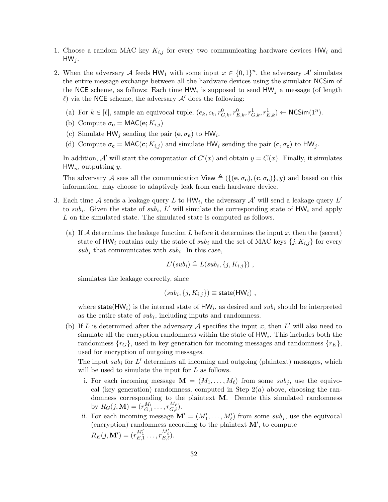- 1. Choose a random MAC key  $K_{i,j}$  for every two communicating hardware devices  $HW_i$  and  $HW_i$ .
- 2. When the adversary A feeds  $HW_1$  with some input  $x \in \{0,1\}^n$ , the adversary A' simulates the entire message exchange between all the hardware devices using the simulator NCSim of the NCE scheme, as follows: Each time  $HW_i$  is supposed to send  $HW_j$  a message (of length  $\ell$ ) via the NCE scheme, the adversary  $\mathcal{A}'$  does the following:
	- (a) For  $k \in [\ell]$ , sample an equivocal tuple,  $(e_k, c_k, r_{G,k}^0, r_{E,k}^0, r_{G,k}^1, r_{E,k}^1) \leftarrow \mathsf{NCSim}(1^n)$ .
	- (b) Compute  $\sigma_{\mathbf{e}} = \mathsf{MAC}(\mathbf{e}; K_{i,j})$
	- (c) Simulate  $HW_j$  sending the pair  $(e, \sigma_e)$  to  $HW_i$ .
	- (d) Compute  $\sigma_{\mathbf{c}} = \text{MAC}(\mathbf{c}; K_{i,j})$  and simulate HW<sub>i</sub> sending the pair  $(\mathbf{c}, \sigma_{\mathbf{c}})$  to HW<sub>j</sub>.

In addition, A' will start the computation of  $C'(x)$  and obtain  $y = C(x)$ . Finally, it simulates  $HW_m$  outputting y.

The adversary A sees all the communication View  $\triangleq (\{(\mathbf{e}, \sigma_{\mathbf{e}}), (\mathbf{c}, \sigma_{\mathbf{c}})\}, y)$  and based on this information, may choose to adaptively leak from each hardware device.

- 3. Each time A sends a leakage query L to  $HW_i$ , the adversary A' will send a leakage query L' to  $sub_i$ . Given the state of  $sub_i$ , L' will simulate the corresponding state of  $HW_i$  and apply L on the simulated state. The simulated state is computed as follows.
	- (a) If A determines the leakage function L before it determines the input x, then the (secret) state of HW<sub>i</sub> contains only the state of sub<sub>i</sub> and the set of MAC keys  $\{j, K_{i,j}\}$  for every  $sub_j$  that communicates with  $sub_i$ . In this case,

$$
L'(subi) \triangleq L(subi, \{j, Ki,j\}),
$$

simulates the leakage correctly, since

$$
(subi, {j, Ki,j}) \equiv state(HWi) ,
$$

where state(HW<sub>i</sub>) is the internal state of HW<sub>i</sub>, as desired and  $sub_i$  should be interpreted as the entire state of  $sub_i$ , including inputs and randomness.

(b) If L is determined after the adversary  $A$  specifies the input x, then  $L'$  will also need to simulate all the encryption randomness within the state of  $HW_i$ . This includes both the randomness  $\{r_G\}$ , used in key generation for incoming messages and randomness  $\{r_E\}$ , used for encryption of outgoing messages.

The input  $sub_i$  for  $L'$  determines all incoming and outgoing (plaintext) messages, which will be used to simulate the input for  $L$  as follows.

- i. For each incoming message  $\mathbf{M} = (M_1, \ldots, M_\ell)$  from some subj, use the equivocal (key generation) randomness, computed in Step  $2(a)$  above, choosing the randomness corresponding to the plaintext M. Denote this simulated randomness by  $R_G(j, \mathbf{M}) = (r_{G,1}^{M_1} \dots, r_{G,\ell}^{M_{\ell}}).$
- ii. For each incoming message  $\mathbf{M}' = (M'_1, \ldots, M'_\ell)$  from some  $sub_j$ , use the equivocal (encryption) randomness according to the plaintext  $\mathbf{M}'$ , to compute  $R_E(j, \mathbf{M}') = (r_{E,1}^{M'_1} \dots, r_{E,\ell}^{M'_{\ell}}).$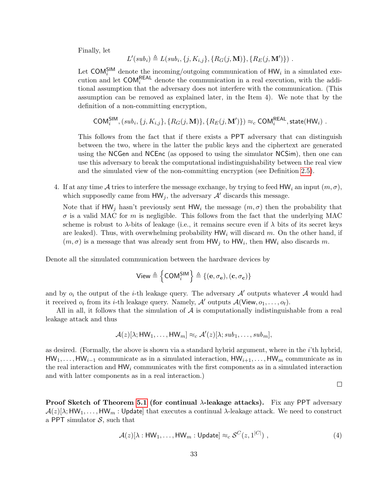Finally, let

$$
L'(subi) \triangleq L(subi, {j, Ki,j}, {RG(j, M)}, {RE(j, M')}) .
$$

Let COM<sup>SIM</sup> denote the incoming/outgoing communication of  $HW_i$  in a simulated execution and let  $COM_i^{REAL}$  denote the communication in a real execution, with the additional assumption that the adversary does not interfere with the communication. (This assumption can be removed as explained later, in the Item 4). We note that by the definition of a non-committing encryption,

 $\mathsf{COM}^{\mathsf{SIM}}_i, (sub_i, \{j, K_{i,j}\}, \{R_G(j,\mathbf{M})\}, \{R_E(j,\mathbf{M}')\}) \approx_c \mathsf{COM}^{\mathsf{REAL}}_i, \mathsf{state}(\mathsf{HW}_i) \;.$ 

This follows from the fact that if there exists a PPT adversary that can distinguish between the two, where in the latter the public keys and the ciphertext are generated using the NCGen and NCEnc (as opposed to using the simulator NCSim), then one can use this adversary to break the computational indistinguishability between the real view and the simulated view of the non-committing encryption (see Definition [2.5\)](#page-10-3).

4. If at any time A tries to interfere the message exchange, by trying to feed  $HW_i$  an input  $(m, \sigma)$ , which supposedly came from  $HW_i$ , the adversary  $A'$  discards this message.

Note that if HW<sub>j</sub> hasn't previously sent HW<sub>i</sub> the message  $(m, \sigma)$  then the probability that  $\sigma$  is a valid MAC for m is negligible. This follows from the fact that the underlying MAC scheme is robust to  $\lambda$ -bits of leakage (i.e., it remains secure even if  $\lambda$  bits of its secret keys are leaked). Thus, with overwhelming probability  $HW_i$  will discard m. On the other hand, if  $(m, \sigma)$  is a message that was already sent from HW<sub>j</sub> to HW<sub>i</sub>, then HW<sub>i</sub> also discards m.

Denote all the simulated communication between the hardware devices by

$$
\mathsf{View} \triangleq \left\{\mathsf{COM}^\mathsf{SIM}_i\right\} \triangleq \left\{(\mathbf{e}, \sigma_\mathbf{e}), (\mathbf{c}, \sigma_\mathbf{c})\right\}
$$

and by  $o_i$  the output of the *i*-th leakage query. The adversary  $\mathcal{A}'$  outputs whatever  $\mathcal{A}$  would had it received  $o_i$  from its *i*-th leakage query. Namely, A' outputs  $A(V_iew, o_1, \ldots, o_t)$ .

All in all, it follows that the simulation of  $A$  is computationally indistinguishable from a real leakage attack and thus

$$
\mathcal{A}(z)[\lambda; HW_1, \ldots, HW_m] \approx_c \mathcal{A}'(z)[\lambda; sub_1, \ldots, sub_m],
$$

as desired. (Formally, the above is shown via a standard hybrid argument, where in the i'th hybrid,  $HW_1, \ldots, HW_{i-1}$  communicate as in a simulated interaction,  $HW_{i+1}, \ldots, HW_m$  communicate as in the real interaction and  $HW_i$  communicates with the first components as in a simulated interaction and with latter components as in a real interaction.)

 $\Box$ 

**Proof Sketch of Theorem [5.1](#page-32-1) (for continual**  $\lambda$ **-leakage attacks).** Fix any PPT adversary  $\mathcal{A}(z)[\lambda;\mathsf{HW}_1,\ldots,\mathsf{HW}_m:\mathsf{Update}]$  that executes a continual  $\lambda$ -leakage attack. We need to construct a PPT simulator  $S$ , such that

<span id="page-34-0"></span>
$$
\mathcal{A}(z)[\lambda : \mathsf{HW}_1, \dots, \mathsf{HW}_m : \mathsf{Update}] \approx_c \mathcal{S}^C(z, 1^{|C|}) , \tag{4}
$$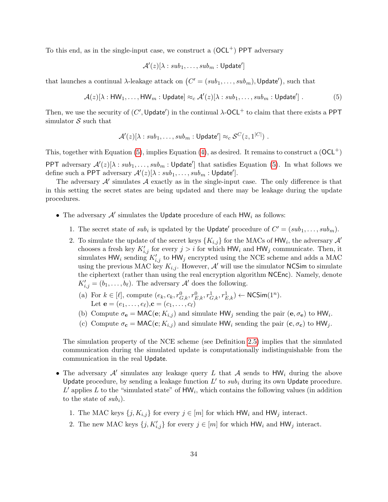To this end, as in the single-input case, we construct a  $(OCL<sup>+</sup>)$  PPT adversary

$$
\mathcal{A}'(z)[\lambda:sub_1,\ldots,sub_m:\mathsf{Update}']
$$

that launches a continual  $\lambda$ -leakage attack on  $(C' = (sub_1, \ldots, sub_m)$ , Update'), such that

<span id="page-35-0"></span>
$$
\mathcal{A}(z)[\lambda:\mathsf{HW}_1,\ldots,\mathsf{HW}_m:\mathsf{Update}]\approx_c \mathcal{A}'(z)[\lambda:sub_1,\ldots,sub_m:\mathsf{Update}']\ .
$$
 (5)

Then, we use the security of  $(C', \mathsf{Update}')$  in the continual  $\lambda$ -OCL<sup>+</sup> to claim that there exists a PPT simulator  $S$  such that

$$
\mathcal{A}'(z)[\lambda: sub_1, \ldots, sub_m: \mathsf{Update'}] \approx_c \mathcal{S}^C(z, 1^{|C|}) .
$$

This, together with Equation  $(5)$ , implies Equation  $(4)$ , as desired. It remains to construct a  $(OCL<sup>+</sup>)$ 

PPT adversary  $\mathcal{A}'(z)[\lambda: sub_1,\ldots, sub_m: \mathsf{Update}']$  that satisfies Equation [\(5\)](#page-35-0). In what follows we define such a PPT adversary  $\mathcal{A}'(z)[\lambda:sub_1,\ldots,sub_m:\mathsf{Update}']$ .

The adversary  $\mathcal{A}'$  simulates  $\mathcal A$  exactly as in the single-input case. The only difference is that in this setting the secret states are being updated and there may be leakage during the update procedures.

- The adversary  $A'$  simulates the Update procedure of each  $HW_i$  as follows:
	- 1. The secret state of  $sub_i$  is updated by the Update' procedure of  $C' = (sub_1, \ldots, sub_m)$ .
	- 2. To simulate the update of the secret keys  $\{K_{i,j}\}$  for the MACs of HW<sub>i</sub>, the adversary  $\mathcal{A}'$ chooses a fresh key  $K'_{i,j}$  for every  $j > i$  for which  $HW_i$  and  $HW_j$  communicate. Then, it simulates  $HW_i$  sending  $K'_{i,j}$  to  $HW_j$  encrypted using the NCE scheme and adds a MAC using the previous MAC key  $K_{i,j}$ . However, A' will use the simulator NCSim to simulate the ciphertext (rather than using the real encryption algorithm NCEnc). Namely, denote  $K'_{i,j} = (b_1, \ldots, b_\ell)$ . The adversary  $\mathcal{A}'$  does the following.
		- (a) For  $k \in [\ell]$ , compute  $(e_k, c_k, r_{G,k}^0, r_{E,k}^0, r_{G,k}^1, r_{E,k}^1) \leftarrow \mathsf{NCSim}(1^n)$ . Let **e** =  $(e_1, ..., e_\ell), c = (c_1, ..., c_\ell)$
		- (b) Compute  $\sigma_{\mathbf{e}} = \text{MAC}(\mathbf{e}; K_{i,j})$  and simulate  $\text{HW}_j$  sending the pair  $(\mathbf{e}, \sigma_{\mathbf{e}})$  to  $\text{HW}_i$ .
		- (c) Compute  $\sigma_{\mathbf{c}} = \text{MAC}(\mathbf{c}; K_{i,j})$  and simulate HW<sub>i</sub> sending the pair  $(\mathbf{c}, \sigma_{\mathbf{c}})$  to HW<sub>j</sub>.

The simulation property of the NCE scheme (see Definition [2.5\)](#page-10-3) implies that the simulated communication during the simulated update is computationally indistinguishable from the communication in the real Update.

- The adversary  $A'$  simulates any leakage query L that A sends to  $HW_i$  during the above Update procedure, by sending a leakage function  $L'$  to  $sub_i$  during its own Update procedure.  $L'$  applies L to the "simulated state" of  $HW_i$ , which contains the following values (in addition to the state of  $sub_i$ ).
	- 1. The MAC keys  $\{j, K_{i,j}\}$  for every  $j \in [m]$  for which HW<sub>i</sub> and HW<sub>j</sub> interact.
	- 2. The new MAC keys  $\{j, K'_{i,j}\}$  for every  $j \in [m]$  for which  $HW_i$  and  $HW_j$  interact.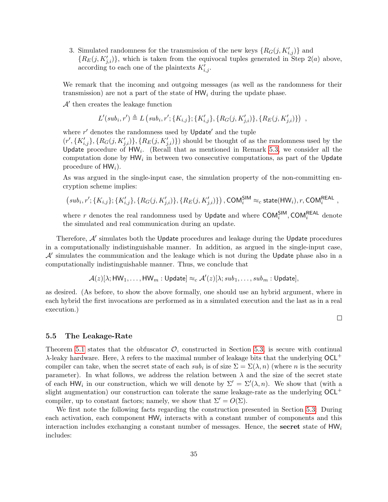3. Simulated randomness for the transmission of the new keys  $\{R_G(j, K'_{i,j})\}$  and  ${R_E(j, K'_{j,i})}$ , which is taken from the equivocal tuples generated in Step 2(*a*) above, according to each one of the plaintexts  $K'_{i,j}$ .

We remark that the incoming and outgoing messages (as well as the randomness for their transmission) are not a part of the state of  $HW_i$  during the update phase.

 $A'$  then creates the leakage function

$$
L'(sub_i, r') \triangleq L\left(sub_i, r'; \{K_{i,j}\}; \{K'_{i,j}\}, \{R_G(j, K'_{j,i})\}, \{R_E(j, K'_{j,i})\}\right) ,
$$

where  $r'$  denotes the randomness used by Update' and the tuple

 $(r', \{K'_{i,j}\}, \{R_G(j, K'_{j,i})\}, \{R_E(j, K'_{j,i})\})$  should be thought of as the randomness used by the Update procedure of  $HW_i$ . (Recall that as mentioned in Remark [5.3,](#page-32-4) we consider all the computation done by  $HW_i$  in between two consecutive computations, as part of the Update procedure of  $HW_i$ ).

As was argued in the single-input case, the simulation property of the non-committing encryption scheme implies:

$$
(sub_i,r';\lbrace K_{i,j}\rbrace;\lbrace K'_{i,j}\rbrace,\lbrace R_G(j,K'_{j,i})\rbrace,\lbrace R_E(j,K'_{j,i})\rbrace)
$$
,
$$
\mathsf{COM}^{\mathsf{SIM}}_i \approx_c \mathsf{state}(\mathsf{HW}_i),r,\mathsf{COM}^{\mathsf{REAL}}_i
$$

where r denotes the real randomness used by Update and where  $\textsf{COM}_i^{\textsf{SIM}}, \textsf{COM}_i^{\textsf{REAL}}$  denote the simulated and real communication during an update.

Therefore,  $A'$  simulates both the Update procedures and leakage during the Update procedures in a computationally indistinguishable manner. In addition, as argued in the single-input case,  $\mathcal{A}'$  simulates the communication and the leakage which is not during the Update phase also in a computationally indistinguishable manner. Thus, we conclude that

$$
\mathcal{A}(z)[\lambda;\mathsf{HW}_1,\ldots,\mathsf{HW}_m:\mathsf{Update}]\approx_c \mathcal{A}'(z)[\lambda; sub_1,\ldots,sub_m:\mathsf{Update}],
$$

as desired. (As before, to show the above formally, one should use an hybrid argument, where in each hybrid the first invocations are performed as in a simulated execution and the last as in a real execution.)

 $\Box$ 

<span id="page-36-0"></span>5.5 The Leakage-Rate

Theorem [5.1](#page-32-1) states that the obfuscator  $\mathcal{O}$ , constructed in Section [5.3,](#page-30-0) is secure with continual  $\lambda$ -leaky hardware. Here,  $\lambda$  refers to the maximal number of leakage bits that the underlying OCL<sup>+</sup> compiler can take, when the secret state of each  $sub_i$  is of size  $\Sigma = \Sigma(\lambda, n)$  (where n is the security parameter). In what follows, we address the relation between  $\lambda$  and the size of the secret state of each HW<sub>i</sub> in our construction, which we will denote by  $\Sigma' = \Sigma'(\lambda, n)$ . We show that (with a slight augmentation) our construction can tolerate the same leakage-rate as the underlying OCL<sup>+</sup> compiler, up to constant factors; namely, we show that  $\Sigma' = O(\Sigma)$ .

We first note the following facts regarding the construction presented in Section [5.3:](#page-30-0) During each activation, each component  $HW_i$  interacts with a constant number of components and this interaction includes exchanging a constant number of messages. Hence, the **secret** state of  $HW_i$ includes: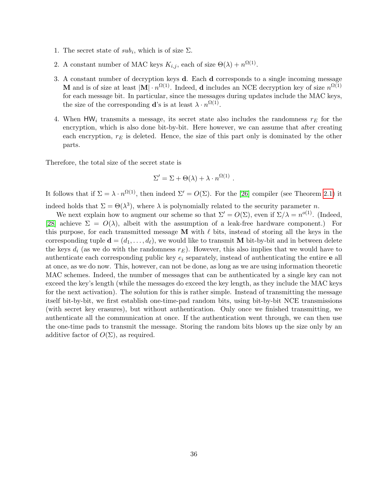- 1. The secret state of  $sub_i$ , which is of size  $\Sigma$ .
- 2. A constant number of MAC keys  $K_{i,j}$ , each of size  $\Theta(\lambda) + n^{\Omega(1)}$ .
- 3. A constant number of decryption keys d. Each d corresponds to a single incoming message **M** and is of size at least  $|\mathbf{M}| \cdot n^{\Omega(1)}$ . Indeed, **d** includes an NCE decryption key of size  $n^{\Omega(1)}$ for each message bit. In particular, since the messages during updates include the MAC keys, the size of the corresponding **d**'s is at least  $\lambda \cdot n^{\Omega(1)}$ .
- 4. When HW<sub>i</sub> transmits a message, its secret state also includes the randomness  $r_E$  for the encryption, which is also done bit-by-bit. Here however, we can assume that after creating each encryption,  $r_E$  is deleted. Hence, the size of this part only is dominated by the other parts.

Therefore, the total size of the secret state is

$$
\Sigma' = \Sigma + \Theta(\lambda) + \lambda \cdot n^{\Omega(1)}.
$$

It follows that if  $\Sigma = \lambda \cdot n^{\Omega(1)}$ , then indeed  $\Sigma' = O(\Sigma)$ . For the [\[26\]](#page-40-3) compiler (see Theorem [2.1\)](#page-10-4) it indeed holds that  $\Sigma = \Theta(\lambda^3)$ , where  $\lambda$  is polynomially related to the security parameter *n*.

We next explain how to augment our scheme so that  $\Sigma' = O(\Sigma)$ , even if  $\Sigma/\lambda = n^{o(1)}$ . (Indeed, [\[28\]](#page-40-2) achieve  $\Sigma = O(\lambda)$ , albeit with the assumption of a leak-free hardware component.) For this purpose, for each transmitted message  $\bf{M}$  with  $\ell$  bits, instead of storing all the keys in the corresponding tuple  $\mathbf{d} = (d_1, \ldots, d_\ell)$ , we would like to transmit M bit-by-bit and in between delete the keys  $d_i$  (as we do with the randomness  $r_E$ ). However, this also implies that we would have to authenticate each corresponding public key  $e_i$  separately, instead of authenticating the entire  $e$  all at once, as we do now. This, however, can not be done, as long as we are using information theoretic MAC schemes. Indeed, the number of messages that can be authenticated by a single key can not exceed the key's length (while the messages do exceed the key length, as they include the MAC keys for the next activation). The solution for this is rather simple. Instead of transmitting the message itself bit-by-bit, we first establish one-time-pad random bits, using bit-by-bit NCE transmissions (with secret key erasures), but without authentication. Only once we finished transmitting, we authenticate all the communication at once. If the authentication went through, we can then use the one-time pads to transmit the message. Storing the random bits blows up the size only by an additive factor of  $O(\Sigma)$ , as required.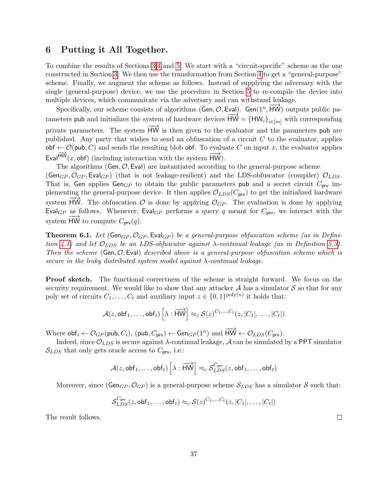# <span id="page-38-0"></span>6 Putting it All Together.

To combine the results of Sections [3,](#page-13-0)[4](#page-22-0) and [5.](#page-26-0) We start with a "circuit-specific" scheme as the one constructed in Section [3.](#page-13-0) We then use the transformation from Section [4](#page-22-0) to get a "general-purpose" scheme. Finally, we augment the scheme as follows. Instead of supplying the adversary with the single (general-purpose) device, we use the procedure in Section [5](#page-26-0) to re-compile the device into multiple devices, which communicate via the adversary and can withstand leakage.

specifically, our scheme consists of algorithms ( $Gen, O, Eval$ ).  $Gen(1^n, \overrightarrow{HW})$  outputs public parameters pub and initializes the system of hardware devices  $\overrightarrow{HW} = \{HW_i\}_{i \in [m]}$  with corresponding private parameters. The system  $\overrightarrow{HW}$  is then given to the evaluator and the parameters pub are published. Any party that wishes to send an obfuscation of a circuit  $C$  to the evaluator, applies  $\mathsf{obf} \leftarrow \mathcal{O}(\mathsf{pub}, C)$  and sends the resulting blob  $\mathsf{obf}$ . To evaluate C on input x, the evaluator applies Eval<sup>HW</sup>(x, obf) (including interaction with the system  $\overrightarrow{HW}$ ).

The algorithms  $(Gen, O, Eval)$  are instantiated according to the general-purpose scheme (Gen<sub>GP</sub>,  $\mathcal{O}_{GP}$ , Eval<sub>GP</sub>) (that is not leakage-resilient) and the LDS-obfuscator (compiler)  $\mathcal{O}_{LDS}$ . That is, Gen applies Gen<sub>GP</sub> to obtain the public parameters pub and a secret circuit  $C_{\text{prv}}$  implementing the general-purpose device. It then applies  $\mathcal{O}_{LDS}(C_{\text{prv}})$  to get the initialized hardware system  $\overline{HW}$ . The obfuscation  $\overline{O}$  is done by applying  $\mathcal{O}_{GP}$ . The evaluation is done by applying Eval<sub>GP</sub> as follows. Whenever, Eval<sub>GP</sub> performs a query q meant for  $C_{\text{prv}}$ , we interact with the system  $\overrightarrow{HW}$  to compute  $C_{\text{prv}}(q)$ .

**Theorem 6.1.** Let  $(Gen_{GP}, \mathcal{O}_{GP}, \text{Eval}_{GP})$  be a general-purpose obfuscation scheme (as in Defini-tion [4.1\)](#page-23-2) and let  $\mathcal{O}_{LDS}$  be an LDS-obfuscator against  $\lambda$ -continual leakage (as in Definition [5.3\)](#page-29-1). Then the scheme (Gen,  $\mathcal{O},$  Eval) described above is a general-purpose obfuscation scheme which is secure in the leaky distributed system model against  $\lambda$ -continual leakage.

Proof sketch. The functional correctness of the scheme is straight forward. We focus on the security requirement. We would like to show that any attacker  $A$  has a simulator  $S$  so that for any poly set of circuits  $C_1, \ldots, C_t$  and auxiliary input  $z \in \{0, 1\}^{\text{poly}(n)}$  it holds that:

$$
\mathcal{A}(z, \textsf{obf}_1, \ldots, \textsf{obf}_t) \left[ \lambda : \overrightarrow{\textsf{HW}} \right] \approx_c \mathcal{S}(z)^{C_1, \ldots, C_t}(z, |C_1|, \ldots, |C_t|)
$$

Where  $\mathsf{obf}_i \leftarrow \mathcal{O}_{GP}(\mathsf{pub}, C_i)$ ,  $(\mathsf{pub}, C_{\mathsf{prv}}) \leftarrow \mathsf{Gen}_{GP}(1^n)$  and  $\overrightarrow{\mathsf{HW}} \leftarrow \mathcal{O}_{LDS}(C_{\mathsf{prv}})$ .

Indeed, since  $\mathcal{O}_{LDS}$  is secure against  $\lambda$ -continual leakage,  $\mathcal{A}$  can be simulated by a PPT simulator  $\mathcal{S}_{LDS}$  that only gets oracle access to  $C_{\text{prv}}$ , i.e.:

$$
\mathcal{A}(z, \textsf{obf}_1, \ldots, \textsf{obf}_t) \left[ \lambda : \overrightarrow{\textsf{HW}} \right] \approx_c \mathcal{S}^{C_{\textsf{PIV}}}_{LDS}(z, \textsf{obf}_1, \ldots, \textsf{obf}_t)
$$

Moreover, since ( $\mathsf{Gen}_{GP}, \mathcal{O}_{GP}$ ) is a general-purpose scheme  $\mathcal{S}_{LDS}$  has a simulator  $\mathcal S$  such that:

$$
\mathcal{S}_{LDS}^{C_{\text{prv}}}(z,\text{obf}_1,\ldots,\text{obf}_t) \approx_c \mathcal{S}(z)^{C_1,\ldots,C_t}(z,|C_1|,\ldots,|C_t|)
$$

The result follows.

37

 $\Box$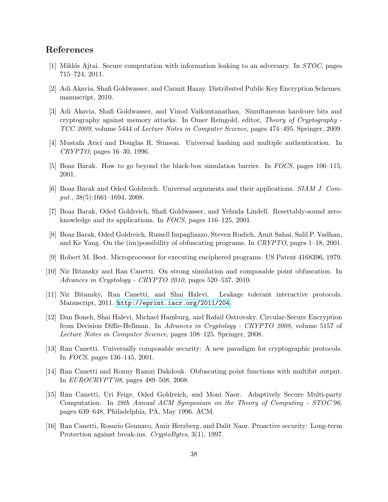# References

- <span id="page-39-10"></span>[1] Miklós Ajtai. Secure computation with information leaking to an adversary. In  $STOC$ , pages 715–724, 2011.
- <span id="page-39-5"></span>[2] Adi Akavia, Shafi Goldwasser, and Carmit Hazay. Distributed Public Key Encryption Schemes. manuscript, 2010.
- <span id="page-39-9"></span>[3] Adi Akavia, Shafi Goldwasser, and Vinod Vaikuntanathan. Simultaneous hardcore bits and cryptography against memory attacks. In Omer Reingold, editor, Theory of Cryptography - TCC 2009, volume 5444 of Lecture Notes in Computer Science, pages 474–495. Springer, 2009.
- <span id="page-39-3"></span>[4] Mustafa Atici and Douglas R. Stinson. Universal hashing and multiple authentication. In CRYPTO, pages 16–30, 1996.
- <span id="page-39-14"></span>[5] Boaz Barak. How to go beyond the black-box simulation barrier. In FOCS, pages 106–115, 2001.
- <span id="page-39-4"></span>[6] Boaz Barak and Oded Goldreich. Universal arguments and their applications. SIAM J. Comput., 38(5):1661–1694, 2008.
- <span id="page-39-13"></span>[7] Boaz Barak, Oded Goldreich, Shafi Goldwasser, and Yehuda Lindell. Resettably-sound zeroknowledge and its applications. In FOCS, pages 116–125, 2001.
- <span id="page-39-1"></span>[8] Boaz Barak, Oded Goldreich, Russell Impagliazzo, Steven Rudich, Amit Sahai, Salil P. Vadhan, and Ke Yang. On the (im)possibility of obfuscating programs. In CRYPTO, pages 1–18, 2001.
- <span id="page-39-0"></span>[9] Robert M. Best. Microprocessor for executing enciphered programs. US Patent 4168396, 1979.
- <span id="page-39-8"></span>[10] Nir Bitansky and Ran Canetti. On strong simulation and composable point obfuscation. In Advances in Cryptology - CRYPTO 2010, pages 520–537, 2010.
- <span id="page-39-11"></span>[11] Nir Bitansky, Ran Canetti, and Shai Halevi. Leakage tolerant interactive protocols. Manuscript, 2011. <http://eprint.iacr.org/2011/204>.
- <span id="page-39-12"></span>[12] Dan Boneh, Shai Halevi, Michael Hamburg, and Rafail Ostrovsky. Circular-Secure Encryption from Decision Diffie-Hellman. In Advances in Cryptology - CRYPTO 2008, volume 5157 of Lecture Notes in Computer Science, pages 108–125. Springer, 2008.
- <span id="page-39-15"></span>[13] Ran Canetti. Universally composable security: A new paradigm for cryptographic protocols. In FOCS, pages 136–145, 2001.
- <span id="page-39-7"></span>[14] Ran Canetti and Ronny Ramzi Dakdouk. Obfuscating point functions with multibit output. In EUROCRYPT'08, pages 489–508, 2008.
- <span id="page-39-2"></span>[15] Ran Canetti, Uri Feige, Oded Goldreich, and Moni Naor. Adaptively Secure Multi-party Computation. In 28th Annual ACM Symposium on the Theory of Computing - STOC'96, pages 639–648, Philadelphia, PA, May 1996. ACM.
- <span id="page-39-6"></span>[16] Ran Canetti, Rosario Gennaro, Amir Herzberg, and Dalit Naor. Proactive security: Long-term Protection against break-ins. CryptoBytes, 3(1), 1997.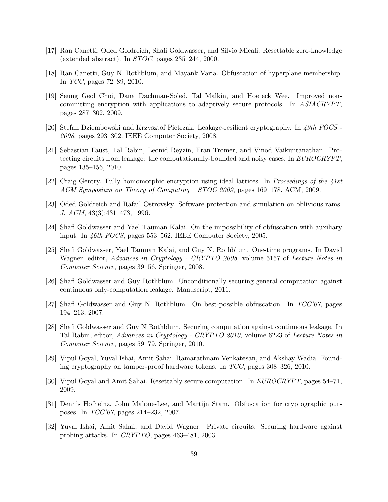- <span id="page-40-14"></span>[17] Ran Canetti, Oded Goldreich, Shafi Goldwasser, and Silvio Micali. Resettable zero-knowledge (extended abstract). In  $STOC$ , pages 235–244, 2000.
- <span id="page-40-7"></span>[18] Ran Canetti, Guy N. Rothblum, and Mayank Varia. Obfuscation of hyperplane membership. In TCC, pages 72–89, 2010.
- <span id="page-40-13"></span>[19] Seung Geol Choi, Dana Dachman-Soled, Tal Malkin, and Hoeteck Wee. Improved noncommitting encryption with applications to adaptively secure protocols. In ASIACRYPT, pages 287–302, 2009.
- <span id="page-40-11"></span>[20] Stefan Dziembowski and Krzysztof Pietrzak. Leakage-resilient cryptography. In 49th FOCS - 2008, pages 293–302. IEEE Computer Society, 2008.
- <span id="page-40-5"></span>[21] Sebastian Faust, Tal Rabin, Leonid Reyzin, Eran Tromer, and Vinod Vaikuntanathan. Protecting circuits from leakage: the computationally-bounded and noisy cases. In EUROCRYPT, pages 135–156, 2010.
- <span id="page-40-4"></span>[22] Craig Gentry. Fully homomorphic encryption using ideal lattices. In Proceedings of the 41st ACM Symposium on Theory of Computing – STOC 2009, pages 169–178. ACM, 2009.
- <span id="page-40-0"></span>[23] Oded Goldreich and Rafail Ostrovsky. Software protection and simulation on oblivious rams. J. ACM, 43(3):431–473, 1996.
- <span id="page-40-6"></span>[24] Shafi Goldwasser and Yael Tauman Kalai. On the impossibility of obfuscation with auxiliary input. In 46th FOCS, pages 553–562. IEEE Computer Society, 2005.
- <span id="page-40-10"></span>[25] Shafi Goldwasser, Yael Tauman Kalai, and Guy N. Rothblum. One-time programs. In David Wagner, editor, Advances in Cryptology - CRYPTO 2008, volume 5157 of Lecture Notes in Computer Science, pages 39–56. Springer, 2008.
- <span id="page-40-3"></span>[26] Shafi Goldwasser and Guy Rothblum. Unconditionally securing general computation against continuous only-computation leakage. Manuscript, 2011.
- <span id="page-40-8"></span>[27] Shafi Goldwasser and Guy N. Rothblum. On best-possible obfuscation. In TCC'07, pages 194–213, 2007.
- <span id="page-40-2"></span>[28] Shafi Goldwasser and Guy N Rothblum. Securing computation against continuous leakage. In Tal Rabin, editor, Advances in Cryptology - CRYPTO 2010, volume 6223 of Lecture Notes in Computer Science, pages 59–79. Springer, 2010.
- <span id="page-40-1"></span>[29] Vipul Goyal, Yuval Ishai, Amit Sahai, Ramarathnam Venkatesan, and Akshay Wadia. Founding cryptography on tamper-proof hardware tokens. In TCC, pages 308–326, 2010.
- <span id="page-40-15"></span>[30] Vipul Goyal and Amit Sahai. Resettably secure computation. In EUROCRYPT, pages 54–71, 2009.
- <span id="page-40-9"></span>[31] Dennis Hofheinz, John Malone-Lee, and Martijn Stam. Obfuscation for cryptographic purposes. In TCC'07, pages 214–232, 2007.
- <span id="page-40-12"></span>[32] Yuval Ishai, Amit Sahai, and David Wagner. Private circuits: Securing hardware against probing attacks. In CRYPTO, pages 463–481, 2003.